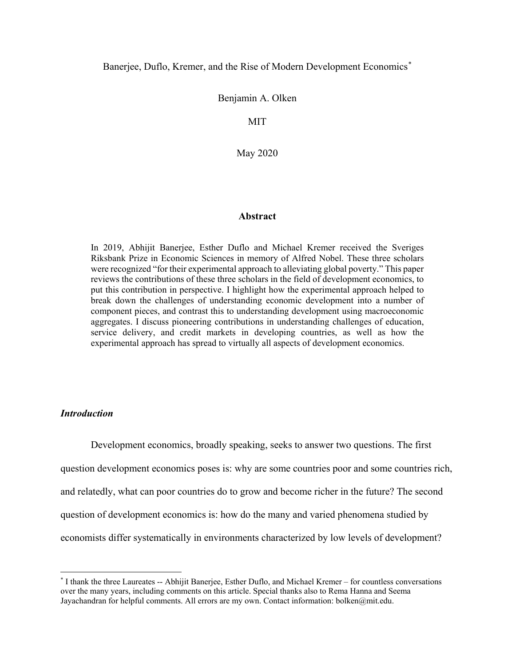### Banerjee, Duflo, Kremer, and the Rise of Modern Development Economics<sup>[\\*](#page-0-0)</sup>

#### Benjamin A. Olken

MIT

May 2020

#### **Abstract**

In 2019, Abhijit Banerjee, Esther Duflo and Michael Kremer received the Sveriges Riksbank Prize in Economic Sciences in memory of Alfred Nobel. These three scholars were recognized "for their experimental approach to alleviating global poverty." This paper reviews the contributions of these three scholars in the field of development economics, to put this contribution in perspective. I highlight how the experimental approach helped to break down the challenges of understanding economic development into a number of component pieces, and contrast this to understanding development using macroeconomic aggregates. I discuss pioneering contributions in understanding challenges of education, service delivery, and credit markets in developing countries, as well as how the experimental approach has spread to virtually all aspects of development economics.

# *Introduction*

 $\overline{a}$ 

Development economics, broadly speaking, seeks to answer two questions. The first question development economics poses is: why are some countries poor and some countries rich, and relatedly, what can poor countries do to grow and become richer in the future? The second question of development economics is: how do the many and varied phenomena studied by economists differ systematically in environments characterized by low levels of development?

<span id="page-0-0"></span><sup>\*</sup> I thank the three Laureates -- Abhijit Banerjee, Esther Duflo, and Michael Kremer – for countless conversations over the many years, including comments on this article. Special thanks also to Rema Hanna and Seema Jayachandran for helpful comments. All errors are my own. Contact information: bolken@mit.edu.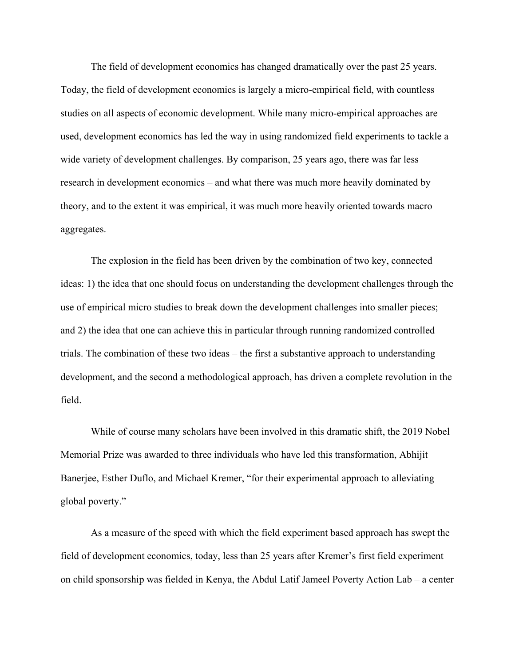The field of development economics has changed dramatically over the past 25 years. Today, the field of development economics is largely a micro-empirical field, with countless studies on all aspects of economic development. While many micro-empirical approaches are used, development economics has led the way in using randomized field experiments to tackle a wide variety of development challenges. By comparison, 25 years ago, there was far less research in development economics – and what there was much more heavily dominated by theory, and to the extent it was empirical, it was much more heavily oriented towards macro aggregates.

The explosion in the field has been driven by the combination of two key, connected ideas: 1) the idea that one should focus on understanding the development challenges through the use of empirical micro studies to break down the development challenges into smaller pieces; and 2) the idea that one can achieve this in particular through running randomized controlled trials. The combination of these two ideas – the first a substantive approach to understanding development, and the second a methodological approach, has driven a complete revolution in the field.

While of course many scholars have been involved in this dramatic shift, the 2019 Nobel Memorial Prize was awarded to three individuals who have led this transformation, Abhijit Banerjee, Esther Duflo, and Michael Kremer, "for their experimental approach to alleviating global poverty."

As a measure of the speed with which the field experiment based approach has swept the field of development economics, today, less than 25 years after Kremer's first field experiment on child sponsorship was fielded in Kenya, the Abdul Latif Jameel Poverty Action Lab – a center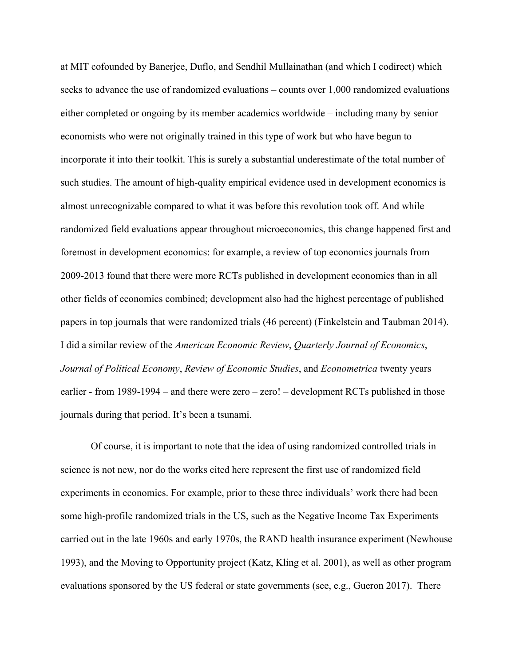at MIT cofounded by Banerjee, Duflo, and Sendhil Mullainathan (and which I codirect) which seeks to advance the use of randomized evaluations – counts over 1,000 randomized evaluations either completed or ongoing by its member academics worldwide – including many by senior economists who were not originally trained in this type of work but who have begun to incorporate it into their toolkit. This is surely a substantial underestimate of the total number of such studies. The amount of high-quality empirical evidence used in development economics is almost unrecognizable compared to what it was before this revolution took off. And while randomized field evaluations appear throughout microeconomics, this change happened first and foremost in development economics: for example, a review of top economics journals from 2009-2013 found that there were more RCTs published in development economics than in all other fields of economics combined; development also had the highest percentage of published papers in top journals that were randomized trials (46 percent) [\(Finkelstein and Taubman 2014\)](#page-33-0). I did a similar review of the *American Economic Review*, *Quarterly Journal of Economics*, *Journal of Political Economy*, *Review of Economic Studies*, and *Econometrica* twenty years earlier - from 1989-1994 – and there were zero – zero! – development RCTs published in those journals during that period. It's been a tsunami.

Of course, it is important to note that the idea of using randomized controlled trials in science is not new, nor do the works cited here represent the first use of randomized field experiments in economics. For example, prior to these three individuals' work there had been some high-profile randomized trials in the US, such as the Negative Income Tax Experiments carried out in the late 1960s and early 1970s, the RAND health insurance experiment [\(Newhouse](#page-34-0)  [1993\)](#page-34-0), and the Moving to Opportunity project [\(Katz, Kling et al. 2001\)](#page-33-1), as well as other program evaluations sponsored by the US federal or state governments [\(see, e.g., Gueron 2017\)](#page-33-2). There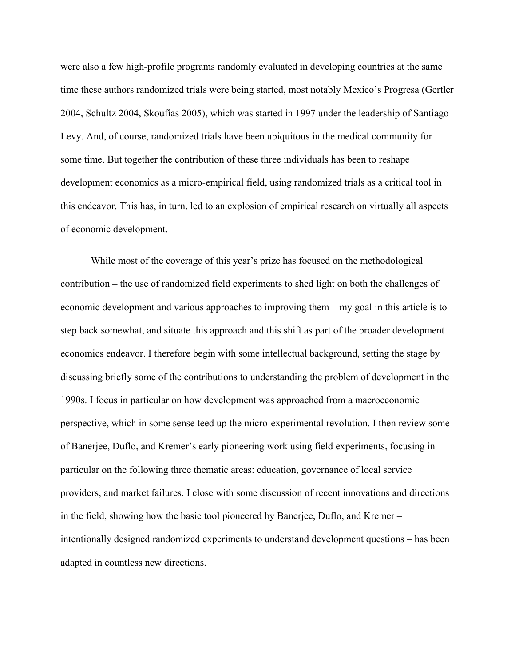were also a few high-profile programs randomly evaluated in developing countries at the same time these authors randomized trials were being started, most notably Mexico's Progresa [\(Gertler](#page-33-3)  [2004,](#page-33-3) [Schultz 2004,](#page-35-0) [Skoufias 2005\)](#page-35-1), which was started in 1997 under the leadership of Santiago Levy. And, of course, randomized trials have been ubiquitous in the medical community for some time. But together the contribution of these three individuals has been to reshape development economics as a micro-empirical field, using randomized trials as a critical tool in this endeavor. This has, in turn, led to an explosion of empirical research on virtually all aspects of economic development.

While most of the coverage of this year's prize has focused on the methodological contribution – the use of randomized field experiments to shed light on both the challenges of economic development and various approaches to improving them – my goal in this article is to step back somewhat, and situate this approach and this shift as part of the broader development economics endeavor. I therefore begin with some intellectual background, setting the stage by discussing briefly some of the contributions to understanding the problem of development in the 1990s. I focus in particular on how development was approached from a macroeconomic perspective, which in some sense teed up the micro-experimental revolution. I then review some of Banerjee, Duflo, and Kremer's early pioneering work using field experiments, focusing in particular on the following three thematic areas: education, governance of local service providers, and market failures. I close with some discussion of recent innovations and directions in the field, showing how the basic tool pioneered by Banerjee, Duflo, and Kremer – intentionally designed randomized experiments to understand development questions – has been adapted in countless new directions.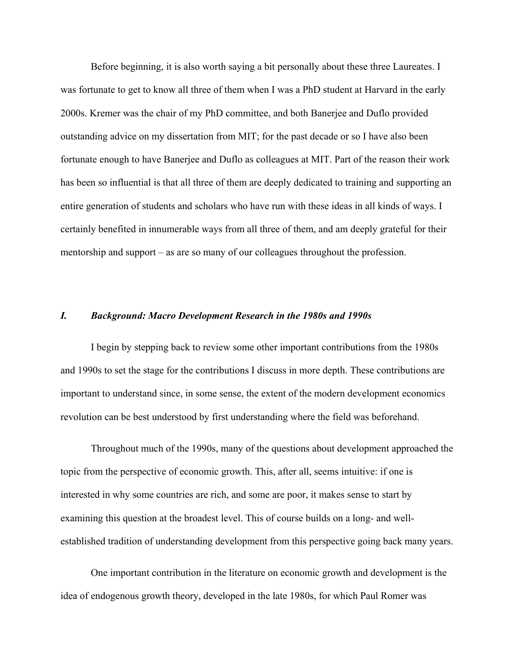Before beginning, it is also worth saying a bit personally about these three Laureates. I was fortunate to get to know all three of them when I was a PhD student at Harvard in the early 2000s. Kremer was the chair of my PhD committee, and both Banerjee and Duflo provided outstanding advice on my dissertation from MIT; for the past decade or so I have also been fortunate enough to have Banerjee and Duflo as colleagues at MIT. Part of the reason their work has been so influential is that all three of them are deeply dedicated to training and supporting an entire generation of students and scholars who have run with these ideas in all kinds of ways. I certainly benefited in innumerable ways from all three of them, and am deeply grateful for their mentorship and support – as are so many of our colleagues throughout the profession.

#### *I. Background: Macro Development Research in the 1980s and 1990s*

I begin by stepping back to review some other important contributions from the 1980s and 1990s to set the stage for the contributions I discuss in more depth. These contributions are important to understand since, in some sense, the extent of the modern development economics revolution can be best understood by first understanding where the field was beforehand.

Throughout much of the 1990s, many of the questions about development approached the topic from the perspective of economic growth. This, after all, seems intuitive: if one is interested in why some countries are rich, and some are poor, it makes sense to start by examining this question at the broadest level. This of course builds on a long- and wellestablished tradition of understanding development from this perspective going back many years.

One important contribution in the literature on economic growth and development is the idea of endogenous growth theory, developed in the late 1980s, for which Paul Romer was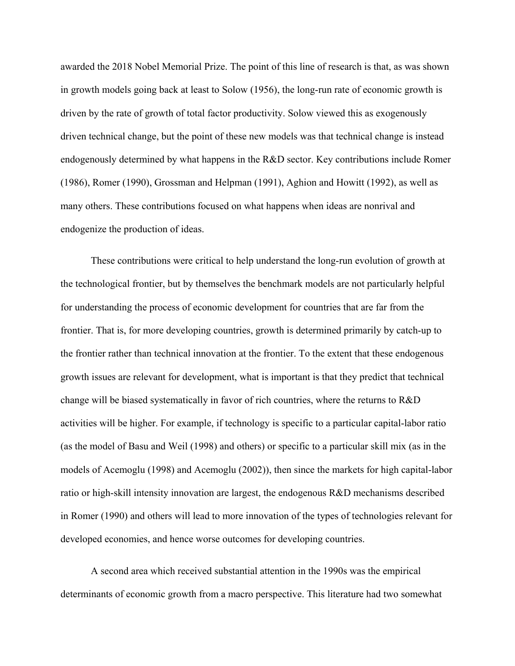awarded the 2018 Nobel Memorial Prize. The point of this line of research is that, as was shown in growth models going back at least to [Solow \(1956\),](#page-35-2) the long-run rate of economic growth is driven by the rate of growth of total factor productivity. Solow viewed this as exogenously driven technical change, but the point of these new models was that technical change is instead endogenously determined by what happens in the R&D sector. Key contributions include [Romer](#page-34-1)  [\(1986\),](#page-34-1) [Romer \(1990\),](#page-34-2) [Grossman and Helpman \(1991\),](#page-33-4) [Aghion and Howitt \(1992\),](#page-30-0) as well as many others. These contributions focused on what happens when ideas are nonrival and endogenize the production of ideas.

These contributions were critical to help understand the long-run evolution of growth at the technological frontier, but by themselves the benchmark models are not particularly helpful for understanding the process of economic development for countries that are far from the frontier. That is, for more developing countries, growth is determined primarily by catch-up to the frontier rather than technical innovation at the frontier. To the extent that these endogenous growth issues are relevant for development, what is important is that they predict that technical change will be biased systematically in favor of rich countries, where the returns to R&D activities will be higher. For example, if technology is specific to a particular capital-labor ratio (as the model of [Basu and Weil \(1998\)](#page-31-0) and others) or specific to a particular skill mix (as in the models of [Acemoglu \(1998\)](#page-30-1) and [Acemoglu \(2002\)\)](#page-30-2), then since the markets for high capital-labor ratio or high-skill intensity innovation are largest, the endogenous R&D mechanisms described in [Romer \(1990\)](#page-34-2) and others will lead to more innovation of the types of technologies relevant for developed economies, and hence worse outcomes for developing countries.

A second area which received substantial attention in the 1990s was the empirical determinants of economic growth from a macro perspective. This literature had two somewhat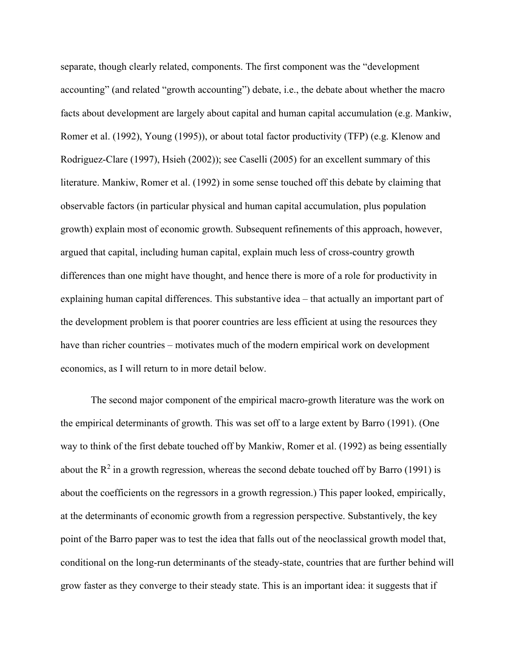separate, though clearly related, components. The first component was the "development accounting" (and related "growth accounting") debate, i.e., the debate about whether the macro facts about development are largely about capital and human capital accumulation (e.g. [Mankiw,](#page-34-3)  [Romer et al.](#page-34-3) (1992), [Young \(1995\)\)](#page-35-3), or about total factor productivity (TFP) (e.g. [Klenow and](#page-33-5)  [Rodriguez-Clare \(1997\),](#page-33-5) [Hsieh \(2002\)\)](#page-33-6); see [Caselli \(2005\)](#page-31-1) for an excellent summary of this literature. [Mankiw, Romer et al. \(1992\)](#page-34-3) in some sense touched off this debate by claiming that observable factors (in particular physical and human capital accumulation, plus population growth) explain most of economic growth. Subsequent refinements of this approach, however, argued that capital, including human capital, explain much less of cross-country growth differences than one might have thought, and hence there is more of a role for productivity in explaining human capital differences. This substantive idea – that actually an important part of the development problem is that poorer countries are less efficient at using the resources they have than richer countries – motivates much of the modern empirical work on development economics, as I will return to in more detail below.

The second major component of the empirical macro-growth literature was the work on the empirical determinants of growth. This was set off to a large extent by [Barro \(1991\).](#page-31-2) (One way to think of the first debate touched off by [Mankiw, Romer et al. \(1992\)](#page-34-3) as being essentially about the  $R^2$  in a growth regression, whereas the second debate touched off by [Barro \(1991\)](#page-31-2) is about the coefficients on the regressors in a growth regression.) This paper looked, empirically, at the determinants of economic growth from a regression perspective. Substantively, the key point of the Barro paper was to test the idea that falls out of the neoclassical growth model that, conditional on the long-run determinants of the steady-state, countries that are further behind will grow faster as they converge to their steady state. This is an important idea: it suggests that if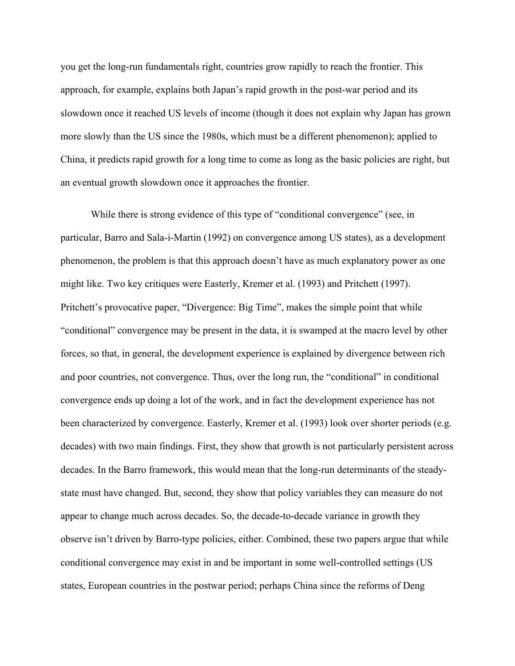you get the long-run fundamentals right, countries grow rapidly to reach the frontier. This approach, for example, explains both Japan's rapid growth in the post-war period and its slowdown once it reached US levels of income (though it does not explain why Japan has grown more slowly than the US since the 1980s, which must be a different phenomenon); applied to China, it predicts rapid growth for a long time to come as long as the basic policies are right, but an eventual growth slowdown once it approaches the frontier.

While there is strong evidence of this type of "conditional convergence" (see, in particular, [Barro and Sala-i-Martin \(1992\)](#page-31-3) on convergence among US states), as a development phenomenon, the problem is that this approach doesn't have as much explanatory power as one might like. Two key critiques were [Easterly, Kremer et al. \(1993\)](#page-32-0) and [Pritchett \(1997\).](#page-34-4) Pritchett's provocative paper, "Divergence: Big Time", makes the simple point that while "conditional" convergence may be present in the data, it is swamped at the macro level by other forces, so that, in general, the development experience is explained by divergence between rich and poor countries, not convergence. Thus, over the long run, the "conditional" in conditional convergence ends up doing a lot of the work, and in fact the development experience has not been characterized by convergence. [Easterly, Kremer et al. \(1993\)](#page-32-0) look over shorter periods (e.g. decades) with two main findings. First, they show that growth is not particularly persistent across decades. In the Barro framework, this would mean that the long-run determinants of the steadystate must have changed. But, second, they show that policy variables they can measure do not appear to change much across decades. So, the decade-to-decade variance in growth they observe isn't driven by Barro-type policies, either. Combined, these two papers argue that while conditional convergence may exist in and be important in some well-controlled settings (US states, European countries in the postwar period; perhaps China since the reforms of Deng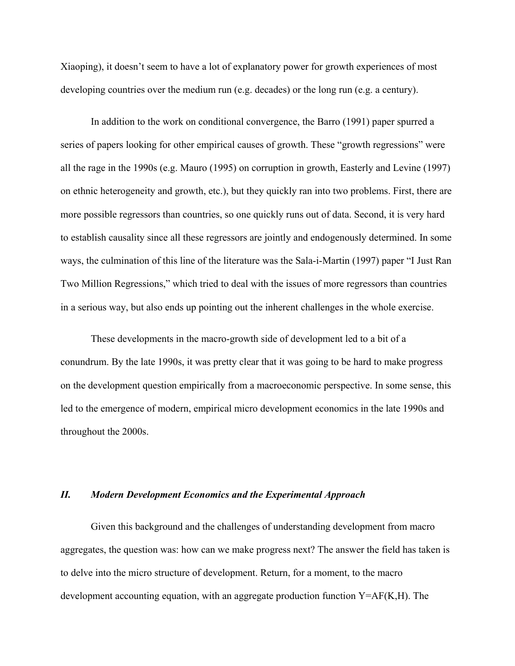Xiaoping), it doesn't seem to have a lot of explanatory power for growth experiences of most developing countries over the medium run (e.g. decades) or the long run (e.g. a century).

In addition to the work on conditional convergence, the [Barro \(1991\)](#page-31-2) paper spurred a series of papers looking for other empirical causes of growth. These "growth regressions" were all the rage in the 1990s (e.g. [Mauro \(1995\)](#page-34-5) on corruption in growth, [Easterly and Levine \(1997\)](#page-32-1) on ethnic heterogeneity and growth, etc.), but they quickly ran into two problems. First, there are more possible regressors than countries, so one quickly runs out of data. Second, it is very hard to establish causality since all these regressors are jointly and endogenously determined. In some ways, the culmination of this line of the literature was the [Sala-i-Martin \(1997\)](#page-34-6) paper "I Just Ran Two Million Regressions," which tried to deal with the issues of more regressors than countries in a serious way, but also ends up pointing out the inherent challenges in the whole exercise.

These developments in the macro-growth side of development led to a bit of a conundrum. By the late 1990s, it was pretty clear that it was going to be hard to make progress on the development question empirically from a macroeconomic perspective. In some sense, this led to the emergence of modern, empirical micro development economics in the late 1990s and throughout the 2000s.

### *II. Modern Development Economics and the Experimental Approach*

Given this background and the challenges of understanding development from macro aggregates, the question was: how can we make progress next? The answer the field has taken is to delve into the micro structure of development. Return, for a moment, to the macro development accounting equation, with an aggregate production function  $Y=AF(K,H)$ . The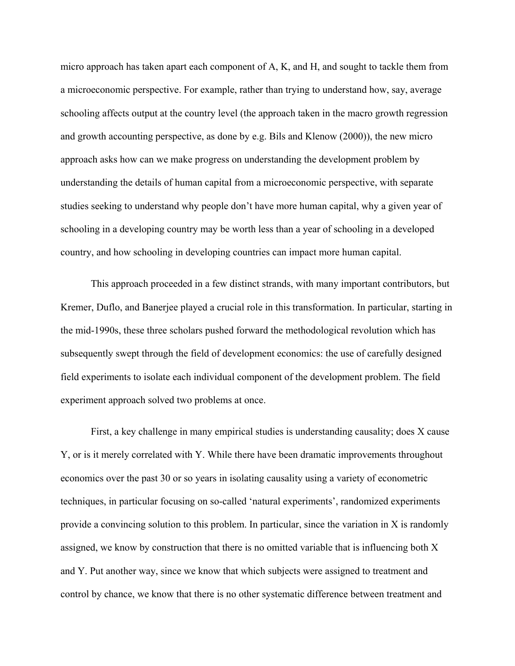micro approach has taken apart each component of A, K, and H, and sought to tackle them from a microeconomic perspective. For example, rather than trying to understand how, say, average schooling affects output at the country level (the approach taken in the macro growth regression and growth accounting perspective, as done by e.g. [Bils and Klenow \(2000\)\)](#page-31-4), the new micro approach asks how can we make progress on understanding the development problem by understanding the details of human capital from a microeconomic perspective, with separate studies seeking to understand why people don't have more human capital, why a given year of schooling in a developing country may be worth less than a year of schooling in a developed country, and how schooling in developing countries can impact more human capital.

This approach proceeded in a few distinct strands, with many important contributors, but Kremer, Duflo, and Banerjee played a crucial role in this transformation. In particular, starting in the mid-1990s, these three scholars pushed forward the methodological revolution which has subsequently swept through the field of development economics: the use of carefully designed field experiments to isolate each individual component of the development problem. The field experiment approach solved two problems at once.

First, a key challenge in many empirical studies is understanding causality; does X cause Y, or is it merely correlated with Y. While there have been dramatic improvements throughout economics over the past 30 or so years in isolating causality using a variety of econometric techniques, in particular focusing on so-called 'natural experiments', randomized experiments provide a convincing solution to this problem. In particular, since the variation in X is randomly assigned, we know by construction that there is no omitted variable that is influencing both X and Y. Put another way, since we know that which subjects were assigned to treatment and control by chance, we know that there is no other systematic difference between treatment and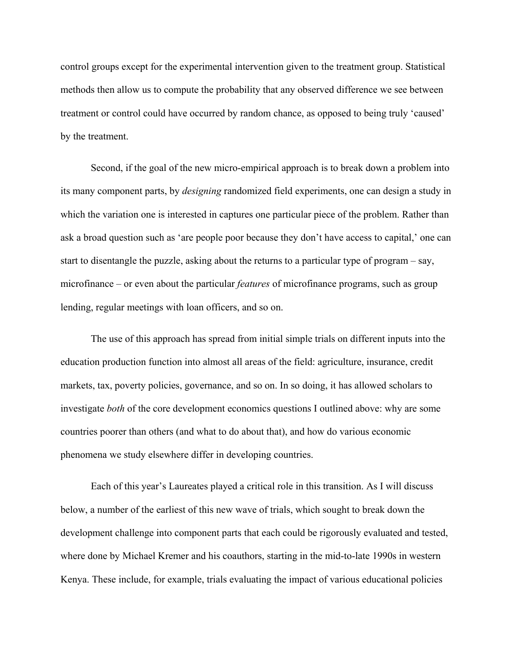control groups except for the experimental intervention given to the treatment group. Statistical methods then allow us to compute the probability that any observed difference we see between treatment or control could have occurred by random chance, as opposed to being truly 'caused' by the treatment.

Second, if the goal of the new micro-empirical approach is to break down a problem into its many component parts, by *designing* randomized field experiments, one can design a study in which the variation one is interested in captures one particular piece of the problem. Rather than ask a broad question such as 'are people poor because they don't have access to capital,' one can start to disentangle the puzzle, asking about the returns to a particular type of program – say, microfinance – or even about the particular *features* of microfinance programs, such as group lending, regular meetings with loan officers, and so on.

The use of this approach has spread from initial simple trials on different inputs into the education production function into almost all areas of the field: agriculture, insurance, credit markets, tax, poverty policies, governance, and so on. In so doing, it has allowed scholars to investigate *both* of the core development economics questions I outlined above: why are some countries poorer than others (and what to do about that), and how do various economic phenomena we study elsewhere differ in developing countries.

Each of this year's Laureates played a critical role in this transition. As I will discuss below, a number of the earliest of this new wave of trials, which sought to break down the development challenge into component parts that each could be rigorously evaluated and tested, where done by Michael Kremer and his coauthors, starting in the mid-to-late 1990s in western Kenya. These include, for example, trials evaluating the impact of various educational policies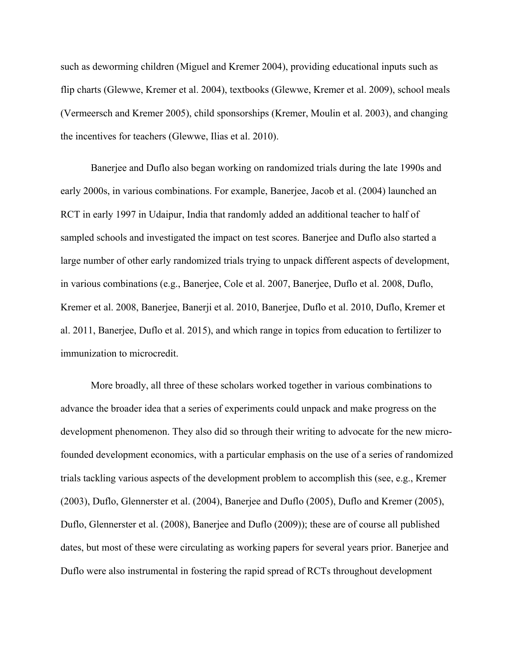such as deworming children [\(Miguel and Kremer 2004\)](#page-34-7), providing educational inputs such as flip charts [\(Glewwe, Kremer et al. 2004\)](#page-33-7), textbooks [\(Glewwe, Kremer et al. 2009\)](#page-33-8), school meals [\(Vermeersch and Kremer 2005\)](#page-35-4), child sponsorships [\(Kremer, Moulin et al. 2003\)](#page-34-8), and changing the incentives for teachers [\(Glewwe, Ilias et al. 2010\)](#page-33-9).

Banerjee and Duflo also began working on randomized trials during the late 1990s and early 2000s, in various combinations. For example, [Banerjee, Jacob et al. \(2004\)](#page-31-5) launched an RCT in early 1997 in Udaipur, India that randomly added an additional teacher to half of sampled schools and investigated the impact on test scores. Banerjee and Duflo also started a large number of other early randomized trials trying to unpack different aspects of development, in various combinations (e.g., [Banerjee, Cole et al. 2007,](#page-30-3) [Banerjee, Duflo et al. 2008,](#page-31-6) [Duflo,](#page-32-2)  [Kremer et al. 2008,](#page-32-2) [Banerjee, Banerji et al. 2010,](#page-30-4) [Banerjee, Duflo et al. 2010,](#page-31-7) [Duflo, Kremer et](#page-32-3)  [al. 2011,](#page-32-3) [Banerjee, Duflo et al. 2015\)](#page-31-8), and which range in topics from education to fertilizer to immunization to microcredit.

More broadly, all three of these scholars worked together in various combinations to advance the broader idea that a series of experiments could unpack and make progress on the development phenomenon. They also did so through their writing to advocate for the new microfounded development economics, with a particular emphasis on the use of a series of randomized trials tackling various aspects of the development problem to accomplish this (see, e.g., [Kremer](#page-34-9)  [\(2003\),](#page-34-9) [Duflo, Glennerster et al. \(2004\),](#page-32-4) [Banerjee and Duflo \(2005\),](#page-30-5) [Duflo and Kremer \(2005\),](#page-32-5) [Duflo, Glennerster et al. \(2008\),](#page-32-6) [Banerjee and Duflo \(2009\)\)](#page-30-6); these are of course all published dates, but most of these were circulating as working papers for several years prior. Banerjee and Duflo were also instrumental in fostering the rapid spread of RCTs throughout development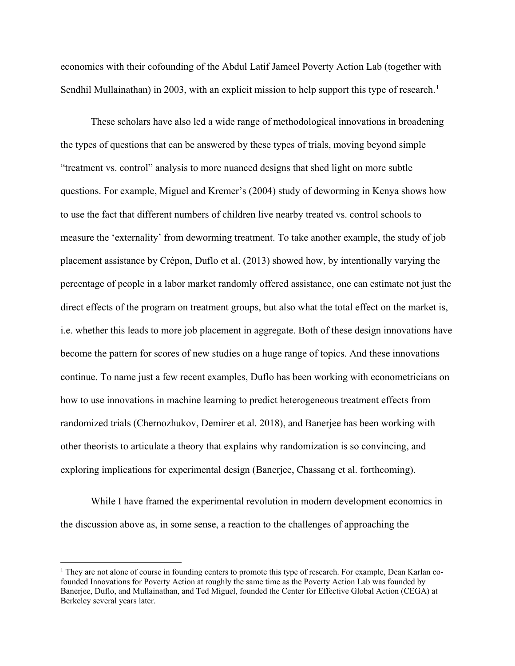economics with their cofounding of the Abdul Latif Jameel Poverty Action Lab (together with Sendhil Mullainathan) in 2003, with an explicit mission to help support this type of research.<sup>[1](#page-12-0)</sup>

These scholars have also led a wide range of methodological innovations in broadening the types of questions that can be answered by these types of trials, moving beyond simple "treatment vs. control" analysis to more nuanced designs that shed light on more subtle questions. For example, Miguel and Kremer's [\(2004\)](#page-34-7) study of deworming in Kenya shows how to use the fact that different numbers of children live nearby treated vs. control schools to measure the 'externality' from deworming treatment. To take another example, the study of job placement assistance by [Crépon, Duflo et al. \(2013\)](#page-32-7) showed how, by intentionally varying the percentage of people in a labor market randomly offered assistance, one can estimate not just the direct effects of the program on treatment groups, but also what the total effect on the market is, i.e. whether this leads to more job placement in aggregate. Both of these design innovations have become the pattern for scores of new studies on a huge range of topics. And these innovations continue. To name just a few recent examples, Duflo has been working with econometricians on how to use innovations in machine learning to predict heterogeneous treatment effects from randomized trials [\(Chernozhukov, Demirer et al. 2018\)](#page-32-8), and Banerjee has been working with other theorists to articulate a theory that explains why randomization is so convincing, and exploring implications for experimental design [\(Banerjee, Chassang et al. forthcoming\)](#page-30-7).

While I have framed the experimental revolution in modern development economics in the discussion above as, in some sense, a reaction to the challenges of approaching the

l

<span id="page-12-0"></span> $1$  They are not alone of course in founding centers to promote this type of research. For example, Dean Karlan cofounded Innovations for Poverty Action at roughly the same time as the Poverty Action Lab was founded by Banerjee, Duflo, and Mullainathan, and Ted Miguel, founded the Center for Effective Global Action (CEGA) at Berkeley several years later.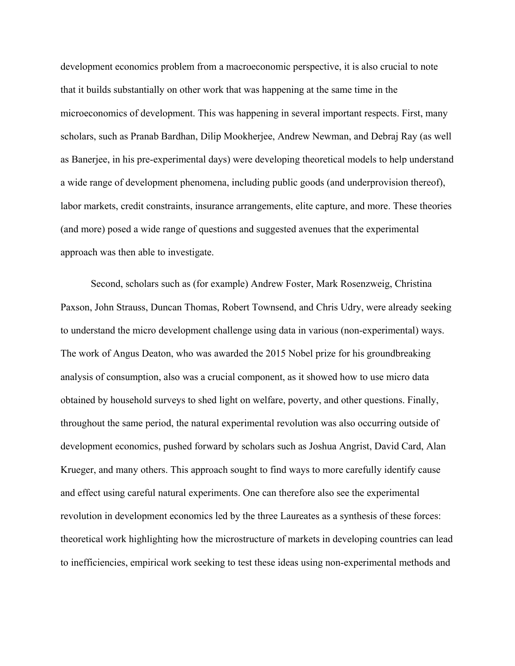development economics problem from a macroeconomic perspective, it is also crucial to note that it builds substantially on other work that was happening at the same time in the microeconomics of development. This was happening in several important respects. First, many scholars, such as Pranab Bardhan, Dilip Mookherjee, Andrew Newman, and Debraj Ray (as well as Banerjee, in his pre-experimental days) were developing theoretical models to help understand a wide range of development phenomena, including public goods (and underprovision thereof), labor markets, credit constraints, insurance arrangements, elite capture, and more. These theories (and more) posed a wide range of questions and suggested avenues that the experimental approach was then able to investigate.

Second, scholars such as (for example) Andrew Foster, Mark Rosenzweig, Christina Paxson, John Strauss, Duncan Thomas, Robert Townsend, and Chris Udry, were already seeking to understand the micro development challenge using data in various (non-experimental) ways. The work of Angus Deaton, who was awarded the 2015 Nobel prize for his groundbreaking analysis of consumption, also was a crucial component, as it showed how to use micro data obtained by household surveys to shed light on welfare, poverty, and other questions. Finally, throughout the same period, the natural experimental revolution was also occurring outside of development economics, pushed forward by scholars such as Joshua Angrist, David Card, Alan Krueger, and many others. This approach sought to find ways to more carefully identify cause and effect using careful natural experiments. One can therefore also see the experimental revolution in development economics led by the three Laureates as a synthesis of these forces: theoretical work highlighting how the microstructure of markets in developing countries can lead to inefficiencies, empirical work seeking to test these ideas using non-experimental methods and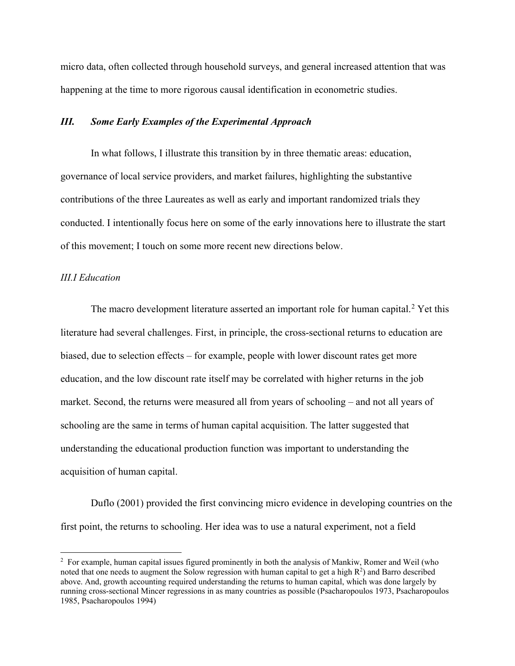micro data, often collected through household surveys, and general increased attention that was happening at the time to more rigorous causal identification in econometric studies.

### *III. Some Early Examples of the Experimental Approach*

In what follows, I illustrate this transition by in three thematic areas: education, governance of local service providers, and market failures, highlighting the substantive contributions of the three Laureates as well as early and important randomized trials they conducted. I intentionally focus here on some of the early innovations here to illustrate the start of this movement; I touch on some more recent new directions below.

# *III.I Education*

The macro development literature asserted an important role for human capital.<sup>[2](#page-14-0)</sup> Yet this literature had several challenges. First, in principle, the cross-sectional returns to education are biased, due to selection effects – for example, people with lower discount rates get more education, and the low discount rate itself may be correlated with higher returns in the job market. Second, the returns were measured all from years of schooling – and not all years of schooling are the same in terms of human capital acquisition. The latter suggested that understanding the educational production function was important to understanding the acquisition of human capital.

[Duflo \(2001\)](#page-32-9) provided the first convincing micro evidence in developing countries on the first point, the returns to schooling. Her idea was to use a natural experiment, not a field

<span id="page-14-0"></span><sup>&</sup>lt;sup>2</sup> For example, human capital issues figured prominently in both the analysis of Mankiw, Romer and Weil (who noted that one needs to augment the Solow regression with human capital to get a high  $R^2$ ) and Barro described above. And, growth accounting required understanding the returns to human capital, which was done largely by running cross-sectional Mincer regressions in as many countries as possible [\(Psacharopoulos 1973,](#page-34-10) [Psacharopoulos](#page-34-11)  [1985,](#page-34-11) [Psacharopoulos 1994\)](#page-34-12)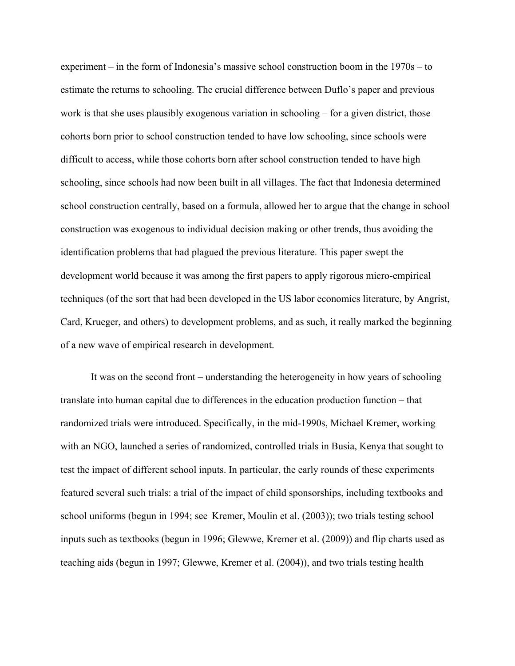experiment – in the form of Indonesia's massive school construction boom in the 1970s – to estimate the returns to schooling. The crucial difference between Duflo's paper and previous work is that she uses plausibly exogenous variation in schooling – for a given district, those cohorts born prior to school construction tended to have low schooling, since schools were difficult to access, while those cohorts born after school construction tended to have high schooling, since schools had now been built in all villages. The fact that Indonesia determined school construction centrally, based on a formula, allowed her to argue that the change in school construction was exogenous to individual decision making or other trends, thus avoiding the identification problems that had plagued the previous literature. This paper swept the development world because it was among the first papers to apply rigorous micro-empirical techniques (of the sort that had been developed in the US labor economics literature, by Angrist, Card, Krueger, and others) to development problems, and as such, it really marked the beginning of a new wave of empirical research in development.

It was on the second front – understanding the heterogeneity in how years of schooling translate into human capital due to differences in the education production function – that randomized trials were introduced. Specifically, in the mid-1990s, Michael Kremer, working with an NGO, launched a series of randomized, controlled trials in Busia, Kenya that sought to test the impact of different school inputs. In particular, the early rounds of these experiments featured several such trials: a trial of the impact of child sponsorships, including textbooks and school uniforms (begun in 1994; see [Kremer, Moulin et al. \(2003\)\)](#page-34-8); two trials testing school inputs such as textbooks (begun in 1996; [Glewwe, Kremer et al. \(2009\)\)](#page-33-8) and flip charts used as teaching aids (begun in 1997; [Glewwe, Kremer et al. \(2004\)\)](#page-33-7), and two trials testing health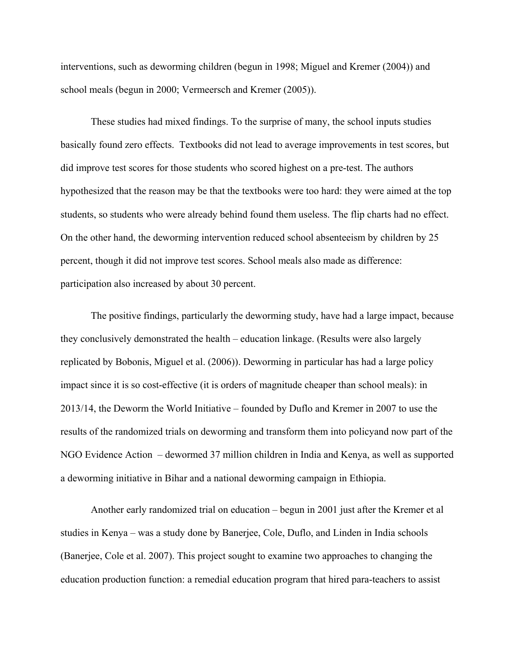interventions, such as deworming children (begun in 1998; [Miguel and Kremer \(2004\)\)](#page-34-7) and school meals (begun in 2000; [Vermeersch and Kremer \(2005\)\)](#page-35-4).

These studies had mixed findings. To the surprise of many, the school inputs studies basically found zero effects. Textbooks did not lead to average improvements in test scores, but did improve test scores for those students who scored highest on a pre-test. The authors hypothesized that the reason may be that the textbooks were too hard: they were aimed at the top students, so students who were already behind found them useless. The flip charts had no effect. On the other hand, the deworming intervention reduced school absenteeism by children by 25 percent, though it did not improve test scores. School meals also made as difference: participation also increased by about 30 percent.

The positive findings, particularly the deworming study, have had a large impact, because they conclusively demonstrated the health – education linkage. (Results were also largely replicated by [Bobonis, Miguel et al. \(2006\)\)](#page-31-9). Deworming in particular has had a large policy impact since it is so cost-effective (it is orders of magnitude cheaper than school meals): in 2013/14, the Deworm the World Initiative – founded by Duflo and Kremer in 2007 to use the results of the randomized trials on deworming and transform them into policyand now part of the NGO Evidence Action – dewormed 37 million children in India and Kenya, as well as supported a deworming initiative in Bihar and a national deworming campaign in Ethiopia.

Another early randomized trial on education – begun in 2001 just after the Kremer et al studies in Kenya – was a study done by Banerjee, Cole, Duflo, and Linden in India schools [\(Banerjee, Cole et al. 2007\)](#page-30-3). This project sought to examine two approaches to changing the education production function: a remedial education program that hired para-teachers to assist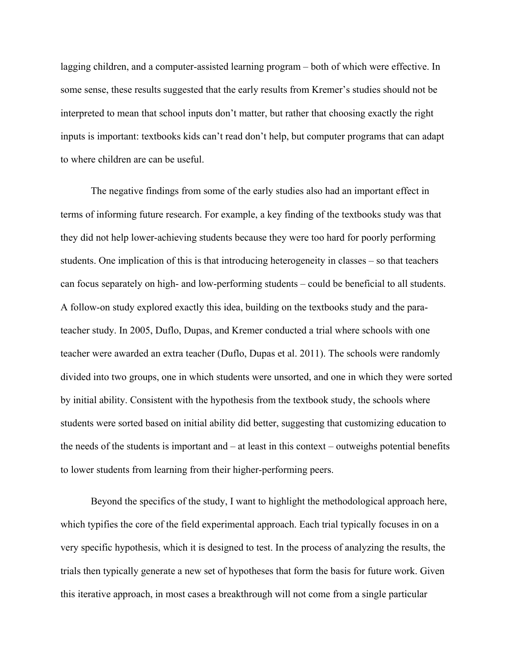lagging children, and a computer-assisted learning program – both of which were effective. In some sense, these results suggested that the early results from Kremer's studies should not be interpreted to mean that school inputs don't matter, but rather that choosing exactly the right inputs is important: textbooks kids can't read don't help, but computer programs that can adapt to where children are can be useful.

The negative findings from some of the early studies also had an important effect in terms of informing future research. For example, a key finding of the textbooks study was that they did not help lower-achieving students because they were too hard for poorly performing students. One implication of this is that introducing heterogeneity in classes – so that teachers can focus separately on high- and low-performing students – could be beneficial to all students. A follow-on study explored exactly this idea, building on the textbooks study and the parateacher study. In 2005, Duflo, Dupas, and Kremer conducted a trial where schools with one teacher were awarded an extra teacher [\(Duflo, Dupas et al. 2011\)](#page-32-10). The schools were randomly divided into two groups, one in which students were unsorted, and one in which they were sorted by initial ability. Consistent with the hypothesis from the textbook study, the schools where students were sorted based on initial ability did better, suggesting that customizing education to the needs of the students is important and – at least in this context – outweighs potential benefits to lower students from learning from their higher-performing peers.

Beyond the specifics of the study, I want to highlight the methodological approach here, which typifies the core of the field experimental approach. Each trial typically focuses in on a very specific hypothesis, which it is designed to test. In the process of analyzing the results, the trials then typically generate a new set of hypotheses that form the basis for future work. Given this iterative approach, in most cases a breakthrough will not come from a single particular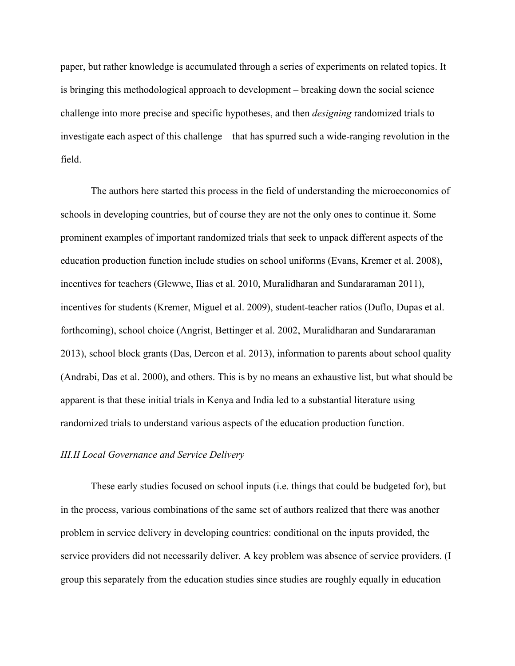paper, but rather knowledge is accumulated through a series of experiments on related topics. It is bringing this methodological approach to development – breaking down the social science challenge into more precise and specific hypotheses, and then *designing* randomized trials to investigate each aspect of this challenge – that has spurred such a wide-ranging revolution in the field.

The authors here started this process in the field of understanding the microeconomics of schools in developing countries, but of course they are not the only ones to continue it. Some prominent examples of important randomized trials that seek to unpack different aspects of the education production function include studies on school uniforms [\(Evans, Kremer et al. 2008\)](#page-32-11), incentives for teachers [\(Glewwe, Ilias et al. 2010,](#page-33-9) [Muralidharan and Sundararaman 2011\)](#page-34-13), incentives for students [\(Kremer, Miguel et al. 2009\)](#page-34-14), student-teacher ratios [\(Duflo, Dupas et al.](#page-32-12)  [forthcoming\)](#page-32-12), school choice [\(Angrist, Bettinger et al. 2002,](#page-30-8) [Muralidharan and Sundararaman](#page-34-15)  [2013\)](#page-34-15), school block grants [\(Das, Dercon et al. 2013\)](#page-32-13), information to parents about school quality [\(Andrabi, Das et al. 2000\)](#page-30-9), and others. This is by no means an exhaustive list, but what should be apparent is that these initial trials in Kenya and India led to a substantial literature using randomized trials to understand various aspects of the education production function.

#### *III.II Local Governance and Service Delivery*

These early studies focused on school inputs (i.e. things that could be budgeted for), but in the process, various combinations of the same set of authors realized that there was another problem in service delivery in developing countries: conditional on the inputs provided, the service providers did not necessarily deliver. A key problem was absence of service providers. (I group this separately from the education studies since studies are roughly equally in education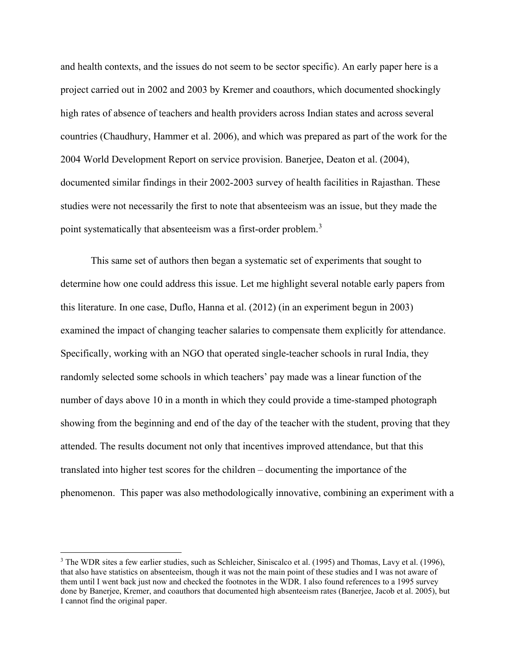and health contexts, and the issues do not seem to be sector specific). An early paper here is a project carried out in 2002 and 2003 by Kremer and coauthors, which documented shockingly high rates of absence of teachers and health providers across Indian states and across several countries [\(Chaudhury, Hammer et al. 2006\)](#page-32-14), and which was prepared as part of the work for the 2004 World Development Report on service provision. [Banerjee, Deaton et al. \(2004\),](#page-30-10) documented similar findings in their 2002-2003 survey of health facilities in Rajasthan. These studies were not necessarily the first to note that absenteeism was an issue, but they made the point systematically that absenteeism was a first-order problem.<sup>[3](#page-19-0)</sup>

This same set of authors then began a systematic set of experiments that sought to determine how one could address this issue. Let me highlight several notable early papers from this literature. In one case, [Duflo, Hanna et al. \(2012\)](#page-32-15) (in an experiment begun in 2003) examined the impact of changing teacher salaries to compensate them explicitly for attendance. Specifically, working with an NGO that operated single-teacher schools in rural India, they randomly selected some schools in which teachers' pay made was a linear function of the number of days above 10 in a month in which they could provide a time-stamped photograph showing from the beginning and end of the day of the teacher with the student, proving that they attended. The results document not only that incentives improved attendance, but that this translated into higher test scores for the children – documenting the importance of the phenomenon. This paper was also methodologically innovative, combining an experiment with a

 $\overline{\phantom{a}}$ 

<span id="page-19-0"></span><sup>&</sup>lt;sup>3</sup> The WDR sites a few earlier studies, such as [Schleicher, Siniscalco et al. \(1995\)](#page-34-16) and Thomas, Lavy et al. (1996), that also have statistics on absenteeism, though it was not the main point of these studies and I was not aware of them until I went back just now and checked the footnotes in the WDR. I also found references to a 1995 survey done by Banerjee, Kremer, and coauthors that documented high absenteeism rates [\(Banerjee, Jacob et al. 2005\)](#page-30-11), but I cannot find the original paper.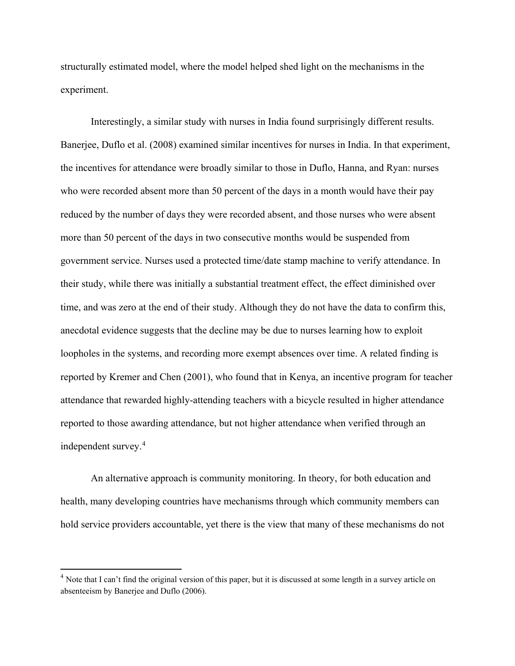structurally estimated model, where the model helped shed light on the mechanisms in the experiment.

Interestingly, a similar study with nurses in India found surprisingly different results. [Banerjee, Duflo et al. \(2008\)](#page-31-6) examined similar incentives for nurses in India. In that experiment, the incentives for attendance were broadly similar to those in Duflo, Hanna, and Ryan: nurses who were recorded absent more than 50 percent of the days in a month would have their pay reduced by the number of days they were recorded absent, and those nurses who were absent more than 50 percent of the days in two consecutive months would be suspended from government service. Nurses used a protected time/date stamp machine to verify attendance. In their study, while there was initially a substantial treatment effect, the effect diminished over time, and was zero at the end of their study. Although they do not have the data to confirm this, anecdotal evidence suggests that the decline may be due to nurses learning how to exploit loopholes in the systems, and recording more exempt absences over time. A related finding is reported by [Kremer and Chen \(2001\),](#page-34-17) who found that in Kenya, an incentive program for teacher attendance that rewarded highly-attending teachers with a bicycle resulted in higher attendance reported to those awarding attendance, but not higher attendance when verified through an independent survey. [4](#page-20-0)

An alternative approach is community monitoring. In theory, for both education and health, many developing countries have mechanisms through which community members can hold service providers accountable, yet there is the view that many of these mechanisms do not

l

<span id="page-20-0"></span> $<sup>4</sup>$  Note that I can't find the original version of this paper, but it is discussed at some length in a survey article on</sup> absenteeism by [Banerjee and Duflo \(2006\).](#page-30-12)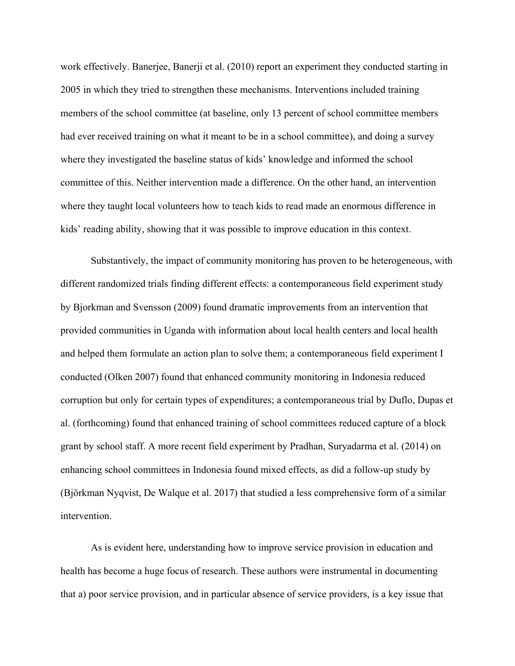work effectively. [Banerjee, Banerji et al. \(2010\)](#page-30-4) report an experiment they conducted starting in 2005 in which they tried to strengthen these mechanisms. Interventions included training members of the school committee (at baseline, only 13 percent of school committee members had ever received training on what it meant to be in a school committee), and doing a survey where they investigated the baseline status of kids' knowledge and informed the school committee of this. Neither intervention made a difference. On the other hand, an intervention where they taught local volunteers how to teach kids to read made an enormous difference in kids' reading ability, showing that it was possible to improve education in this context.

Substantively, the impact of community monitoring has proven to be heterogeneous, with different randomized trials finding different effects: a contemporaneous field experiment study by [Bjorkman and Svensson \(2009\)](#page-31-10) found dramatic improvements from an intervention that provided communities in Uganda with information about local health centers and local health and helped them formulate an action plan to solve them; a contemporaneous field experiment I conducted [\(Olken 2007\)](#page-34-18) found that enhanced community monitoring in Indonesia reduced corruption but only for certain types of expenditures; a contemporaneous trial by [Duflo, Dupas et](#page-32-12)  al. (forthcoming) found that enhanced training of school committees reduced capture of a block grant by school staff. A more recent field experiment by [Pradhan, Suryadarma et al. \(2014\)](#page-34-19) on enhancing school committees in Indonesia found mixed effects, as did a follow-up study by [\(Björkman Nyqvist, De Walque et al. 2017\)](#page-31-11) that studied a less comprehensive form of a similar intervention.

As is evident here, understanding how to improve service provision in education and health has become a huge focus of research. These authors were instrumental in documenting that a) poor service provision, and in particular absence of service providers, is a key issue that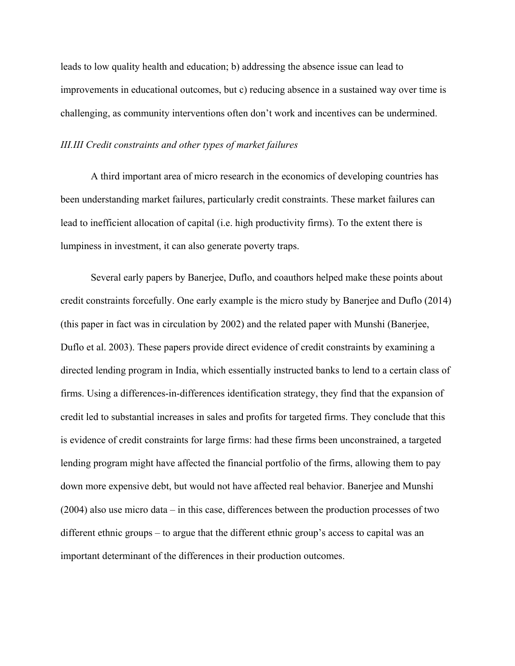leads to low quality health and education; b) addressing the absence issue can lead to improvements in educational outcomes, but c) reducing absence in a sustained way over time is challenging, as community interventions often don't work and incentives can be undermined.

#### *III.III Credit constraints and other types of market failures*

A third important area of micro research in the economics of developing countries has been understanding market failures, particularly credit constraints. These market failures can lead to inefficient allocation of capital (i.e. high productivity firms). To the extent there is lumpiness in investment, it can also generate poverty traps.

Several early papers by Banerjee, Duflo, and coauthors helped make these points about credit constraints forcefully. One early example is the micro study by [Banerjee and Duflo \(2014\)](#page-30-13) (this paper in fact was in circulation by 2002) and the related paper with Munshi [\(Banerjee,](#page-31-12)  [Duflo et al. 2003\)](#page-31-12). These papers provide direct evidence of credit constraints by examining a directed lending program in India, which essentially instructed banks to lend to a certain class of firms. Using a differences-in-differences identification strategy, they find that the expansion of credit led to substantial increases in sales and profits for targeted firms. They conclude that this is evidence of credit constraints for large firms: had these firms been unconstrained, a targeted lending program might have affected the financial portfolio of the firms, allowing them to pay down more expensive debt, but would not have affected real behavior. [Banerjee and Munshi](#page-30-14)  (2004) also use micro data – in this case, differences between the production processes of two different ethnic groups – to argue that the different ethnic group's access to capital was an important determinant of the differences in their production outcomes.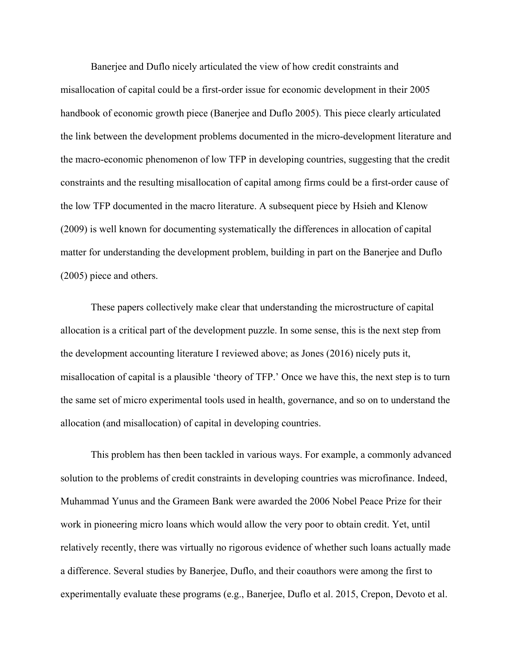Banerjee and Duflo nicely articulated the view of how credit constraints and misallocation of capital could be a first-order issue for economic development in their 2005 handbook of economic growth piece [\(Banerjee and Duflo](#page-30-5) 2005). This piece clearly articulated the link between the development problems documented in the micro-development literature and the macro-economic phenomenon of low TFP in developing countries, suggesting that the credit constraints and the resulting misallocation of capital among firms could be a first-order cause of the low TFP documented in the macro literature. A subsequent piece by [Hsieh and Klenow](#page-33-10)  (2009) is well known for documenting systematically the differences in allocation of capital matter for understanding the development problem, building in part on the Banerjee and Duflo (2005) piece and others.

These papers collectively make clear that understanding the microstructure of capital allocation is a critical part of the development puzzle. In some sense, this is the next step from the development accounting literature I reviewed above; as [Jones \(2016\)](#page-33-11) nicely puts it, misallocation of capital is a plausible 'theory of TFP.' Once we have this, the next step is to turn the same set of micro experimental tools used in health, governance, and so on to understand the allocation (and misallocation) of capital in developing countries.

This problem has then been tackled in various ways. For example, a commonly advanced solution to the problems of credit constraints in developing countries was microfinance. Indeed, Muhammad Yunus and the Grameen Bank were awarded the 2006 Nobel Peace Prize for their work in pioneering micro loans which would allow the very poor to obtain credit. Yet, until relatively recently, there was virtually no rigorous evidence of whether such loans actually made a difference. Several studies by Banerjee, Duflo, and their coauthors were among the first to experimentally evaluate these programs (e.g., [Banerjee, Duflo et al. 2015,](#page-31-8) [Crepon, Devoto et al.](#page-32-16)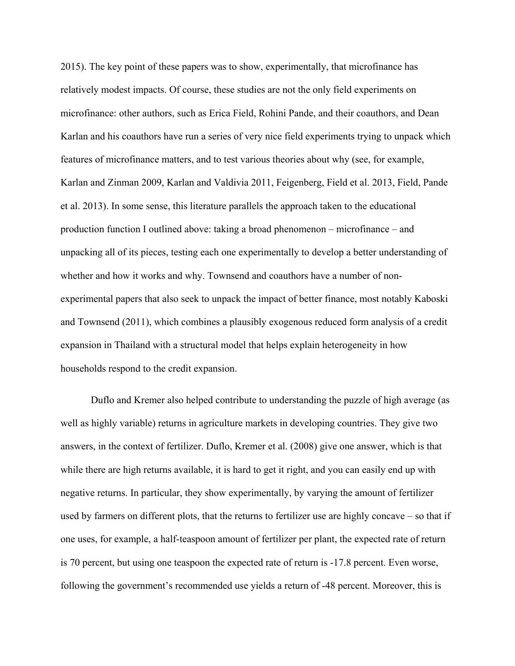[2015\)](#page-32-16). The key point of these papers was to show, experimentally, that microfinance has relatively modest impacts. Of course, these studies are not the only field experiments on microfinance: other authors, such as Erica Field, Rohini Pande, and their coauthors, and Dean Karlan and his coauthors have run a series of very nice field experiments trying to unpack which features of microfinance matters, and to test various theories about why (see, for example, [Karlan and Zinman 2009,](#page-33-12) [Karlan and Valdivia 2011,](#page-33-13) [Feigenberg, Field et al. 2013,](#page-33-14) [Field, Pande](#page-33-15)  [et al. 2013\)](#page-33-15). In some sense, this literature parallels the approach taken to the educational production function I outlined above: taking a broad phenomenon – microfinance – and unpacking all of its pieces, testing each one experimentally to develop a better understanding of whether and how it works and why. Townsend and coauthors have a number of nonexperimental papers that also seek to unpack the impact of better finance, most notably [Kaboski](#page-33-16)  and Townsend (2011), which combines a plausibly exogenous reduced form analysis of a credit expansion in Thailand with a structural model that helps explain heterogeneity in how households respond to the credit expansion.

Duflo and Kremer also helped contribute to understanding the puzzle of high average (as well as highly variable) returns in agriculture markets in developing countries. They give two answers, in the context of fertilizer. [Duflo, Kremer et al. \(2008\)](#page-32-2) give one answer, which is that while there are high returns available, it is hard to get it right, and you can easily end up with negative returns. In particular, they show experimentally, by varying the amount of fertilizer used by farmers on different plots, that the returns to fertilizer use are highly concave – so that if one uses, for example, a half-teaspoon amount of fertilizer per plant, the expected rate of return is 70 percent, but using one teaspoon the expected rate of return is -17.8 percent. Even worse, following the government's recommended use yields a return of -48 percent. Moreover, this is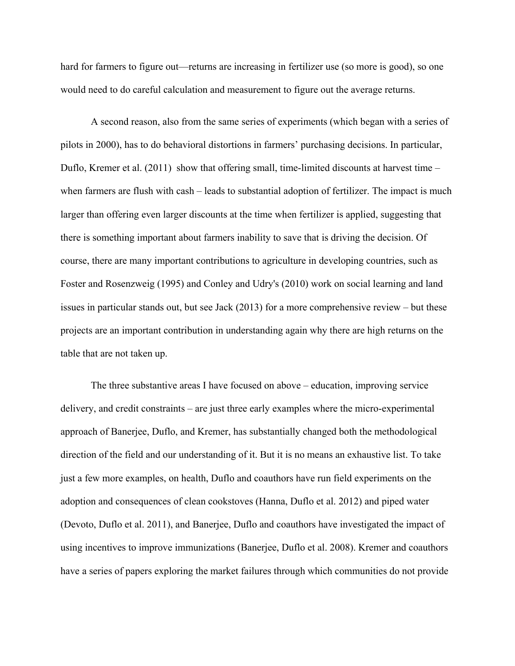hard for farmers to figure out—returns are increasing in fertilizer use (so more is good), so one would need to do careful calculation and measurement to figure out the average returns.

A second reason, also from the same series of experiments (which began with a series of pilots in 2000), has to do behavioral distortions in farmers' purchasing decisions. In particular, [Duflo, Kremer et al. \(2011\)](#page-32-3) show that offering small, time-limited discounts at harvest time – when farmers are flush with cash – leads to substantial adoption of fertilizer. The impact is much larger than offering even larger discounts at the time when fertilizer is applied, suggesting that there is something important about farmers inability to save that is driving the decision. Of course, there are many important contributions to agriculture in developing countries, such as [Foster and Rosenzweig \(1995\)](#page-33-17) and [Conley and Udry's](#page-32-17) (2010) work on social learning and land issues in particular stands out, but see [Jack \(2013\)](#page-33-18) for a more comprehensive review – but these projects are an important contribution in understanding again why there are high returns on the table that are not taken up.

The three substantive areas I have focused on above – education, improving service delivery, and credit constraints – are just three early examples where the micro-experimental approach of Banerjee, Duflo, and Kremer, has substantially changed both the methodological direction of the field and our understanding of it. But it is no means an exhaustive list. To take just a few more examples, on health, Duflo and coauthors have run field experiments on the adoption and consequences of clean cookstoves [\(Hanna, Duflo et al. 2012\)](#page-33-19) and piped water [\(Devoto, Duflo et al. 2011\)](#page-32-18), and Banerjee, Duflo and coauthors have investigated the impact of using incentives to improve immunizations [\(Banerjee, Duflo et al. 2008\)](#page-31-13). Kremer and coauthors have a series of papers exploring the market failures through which communities do not provide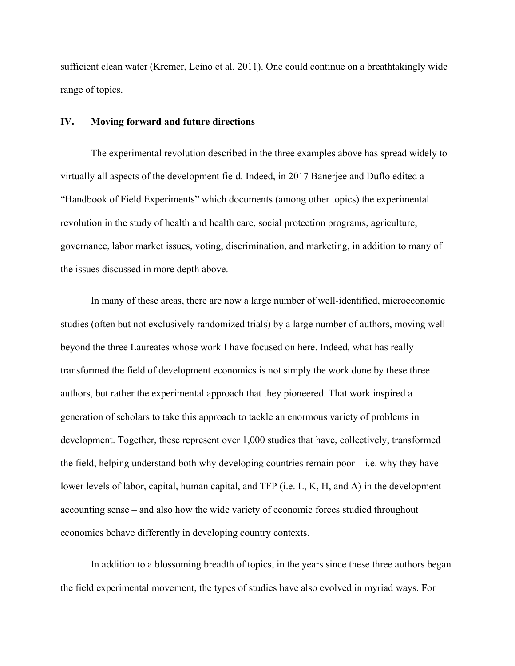sufficient clean water [\(Kremer, Leino et al. 2011\)](#page-34-20). One could continue on a breathtakingly wide range of topics.

### **IV. Moving forward and future directions**

The experimental revolution described in the three examples above has spread widely to virtually all aspects of the development field. Indeed, in 2017 Banerjee and Duflo edited a "Handbook of Field Experiments" which documents (among other topics) the experimental revolution in the study of health and health care, social protection programs, agriculture, governance, labor market issues, voting, discrimination, and marketing, in addition to many of the issues discussed in more depth above.

In many of these areas, there are now a large number of well-identified, microeconomic studies (often but not exclusively randomized trials) by a large number of authors, moving well beyond the three Laureates whose work I have focused on here. Indeed, what has really transformed the field of development economics is not simply the work done by these three authors, but rather the experimental approach that they pioneered. That work inspired a generation of scholars to take this approach to tackle an enormous variety of problems in development. Together, these represent over 1,000 studies that have, collectively, transformed the field, helping understand both why developing countries remain poor  $-$  i.e. why they have lower levels of labor, capital, human capital, and TFP (i.e. L, K, H, and A) in the development accounting sense – and also how the wide variety of economic forces studied throughout economics behave differently in developing country contexts.

In addition to a blossoming breadth of topics, in the years since these three authors began the field experimental movement, the types of studies have also evolved in myriad ways. For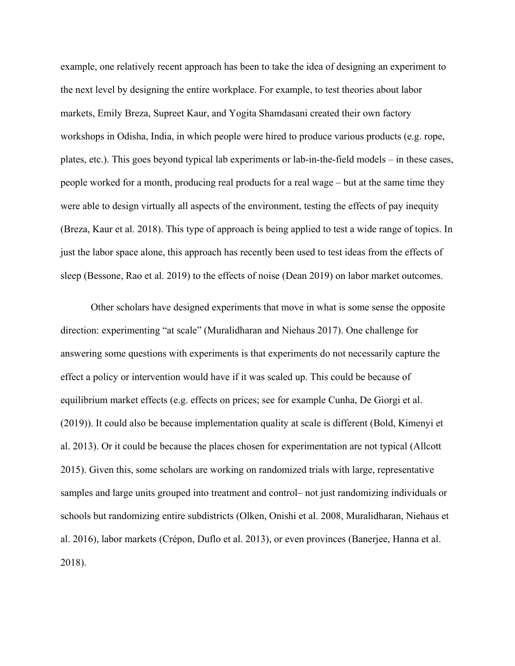example, one relatively recent approach has been to take the idea of designing an experiment to the next level by designing the entire workplace. For example, to test theories about labor markets, Emily Breza, Supreet Kaur, and Yogita Shamdasani created their own factory workshops in Odisha, India, in which people were hired to produce various products (e.g. rope, plates, etc.). This goes beyond typical lab experiments or lab-in-the-field models – in these cases, people worked for a month, producing real products for a real wage – but at the same time they were able to design virtually all aspects of the environment, testing the effects of pay inequity [\(Breza, Kaur et al. 2018\)](#page-31-14). This type of approach is being applied to test a wide range of topics. In just the labor space alone, this approach has recently been used to test ideas from the effects of sleep [\(Bessone, Rao et al. 2019\)](#page-31-15) to the effects of noise [\(Dean 2019\)](#page-32-19) on labor market outcomes.

Other scholars have designed experiments that move in what is some sense the opposite direction: experimenting "at scale" [\(Muralidharan and Niehaus 2017\)](#page-34-21). One challenge for answering some questions with experiments is that experiments do not necessarily capture the effect a policy or intervention would have if it was scaled up. This could be because of equilibrium market effects (e.g. effects on prices; see for example [Cunha, De Giorgi et al.](#page-32-20)  (2019)). It could also be because implementation quality at scale is different [\(Bold, Kimenyi et](#page-31-16)  [al. 2013\)](#page-31-16). Or it could be because the places chosen for experimentation are not typical [\(Allcott](#page-30-15)  [2015\)](#page-30-15). Given this, some scholars are working on randomized trials with large, representative samples and large units grouped into treatment and control– not just randomizing individuals or schools but randomizing entire subdistricts [\(Olken, Onishi et al. 2008,](#page-34-22) [Muralidharan, Niehaus et](#page-34-23)  [al. 2016\)](#page-34-23), labor markets [\(Crépon, Duflo et al. 2013\)](#page-32-7), or even provinces [\(Banerjee, Hanna et al.](#page-30-16)  [2018\)](#page-30-16).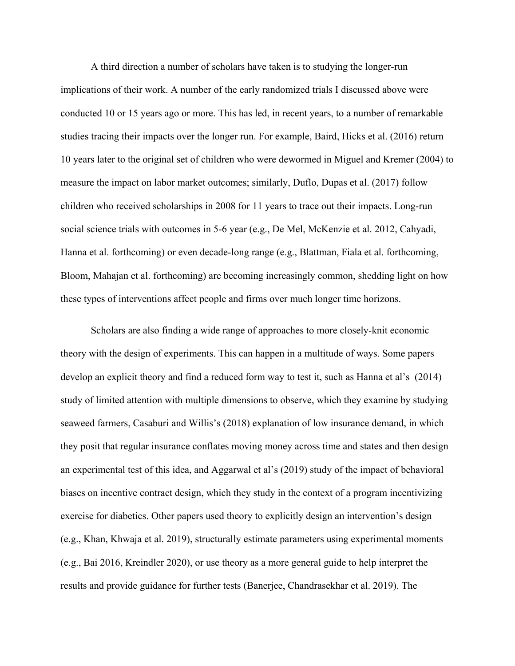A third direction a number of scholars have taken is to studying the longer-run implications of their work. A number of the early randomized trials I discussed above were conducted 10 or 15 years ago or more. This has led, in recent years, to a number of remarkable studies tracing their impacts over the longer run. For example, [Baird, Hicks et al. \(2016\)](#page-30-17) return 10 years later to the original set of children who were dewormed in [Miguel and Kremer \(2004\)](#page-34-7) to measure the impact on labor market outcomes; similarly, [Duflo, Dupas et al. \(2017\)](#page-32-21) follow children who received scholarships in 2008 for 11 years to trace out their impacts. Long-run social science trials with outcomes in 5-6 year (e.g., [De Mel, McKenzie et al. 2012,](#page-32-22) [Cahyadi,](#page-31-17)  [Hanna et al. forthcoming\)](#page-31-17) or even decade-long range (e.g., [Blattman, Fiala et al. forthcoming,](#page-31-18) [Bloom, Mahajan et al. forthcoming\)](#page-31-19) are becoming increasingly common, shedding light on how these types of interventions affect people and firms over much longer time horizons.

Scholars are also finding a wide range of approaches to more closely-knit economic theory with the design of experiments. This can happen in a multitude of ways. Some papers develop an explicit theory and find a reduced form way to test it, such as Hanna et al's [\(2014\)](#page-33-20) study of limited attention with multiple dimensions to observe, which they examine by studying seaweed farmers, Casaburi and Willis's [\(2018\)](#page-31-20) explanation of low insurance demand, in which they posit that regular insurance conflates moving money across time and states and then design an experimental test of this idea, and Aggarwal et al's [\(2019\)](#page-30-18) study of the impact of behavioral biases on incentive contract design, which they study in the context of a program incentivizing exercise for diabetics. Other papers used theory to explicitly design an intervention's design [\(e.g., Khan, Khwaja et al. 2019\)](#page-33-21), structurally estimate parameters using experimental moments (e.g., [Bai 2016,](#page-30-19) [Kreindler 2020\)](#page-33-22), or use theory as a more general guide to help interpret the results and provide guidance for further tests [\(Banerjee, Chandrasekhar et al. 2019\)](#page-30-20). The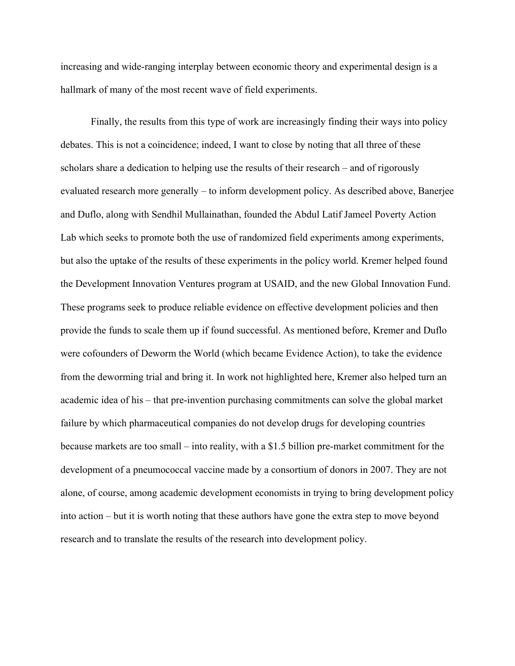increasing and wide-ranging interplay between economic theory and experimental design is a hallmark of many of the most recent wave of field experiments.

Finally, the results from this type of work are increasingly finding their ways into policy debates. This is not a coincidence; indeed, I want to close by noting that all three of these scholars share a dedication to helping use the results of their research – and of rigorously evaluated research more generally – to inform development policy. As described above, Banerjee and Duflo, along with Sendhil Mullainathan, founded the Abdul Latif Jameel Poverty Action Lab which seeks to promote both the use of randomized field experiments among experiments, but also the uptake of the results of these experiments in the policy world. Kremer helped found the Development Innovation Ventures program at USAID, and the new Global Innovation Fund. These programs seek to produce reliable evidence on effective development policies and then provide the funds to scale them up if found successful. As mentioned before, Kremer and Duflo were cofounders of Deworm the World (which became Evidence Action), to take the evidence from the deworming trial and bring it. In work not highlighted here, Kremer also helped turn an academic idea of his – that pre-invention purchasing commitments can solve the global market failure by which pharmaceutical companies do not develop drugs for developing countries because markets are too small – into reality, with a \$1.5 billion pre-market commitment for the development of a pneumococcal vaccine made by a consortium of donors in 2007. They are not alone, of course, among academic development economists in trying to bring development policy into action – but it is worth noting that these authors have gone the extra step to move beyond research and to translate the results of the research into development policy.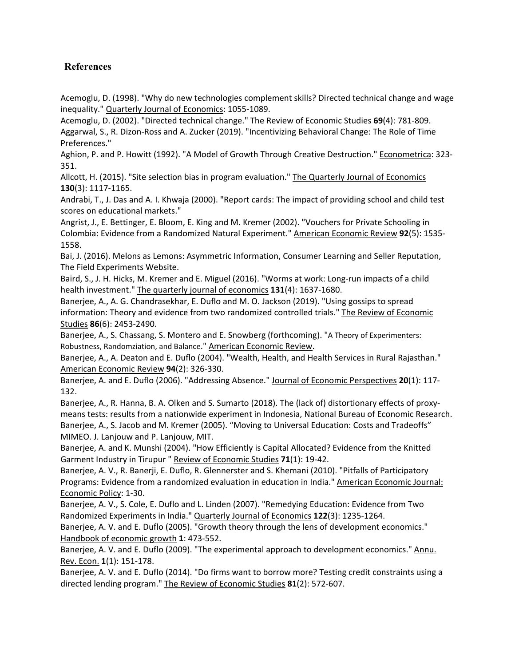# **References**

<span id="page-30-1"></span>Acemoglu, D. (1998). "Why do new technologies complement skills? Directed technical change and wage inequality." Quarterly Journal of Economics: 1055-1089.

<span id="page-30-18"></span><span id="page-30-2"></span>Acemoglu, D. (2002). "Directed technical change." The Review of Economic Studies **69**(4): 781-809. Aggarwal, S., R. Dizon-Ross and A. Zucker (2019). "Incentivizing Behavioral Change: The Role of Time Preferences."

<span id="page-30-0"></span>Aghion, P. and P. Howitt (1992). "A Model of Growth Through Creative Destruction." Econometrica: 323- 351.

<span id="page-30-15"></span>Allcott, H. (2015). "Site selection bias in program evaluation." The Quarterly Journal of Economics **130**(3): 1117-1165.

<span id="page-30-9"></span>Andrabi, T., J. Das and A. I. Khwaja (2000). "Report cards: The impact of providing school and child test scores on educational markets."

<span id="page-30-8"></span>Angrist, J., E. Bettinger, E. Bloom, E. King and M. Kremer (2002). "Vouchers for Private Schooling in Colombia: Evidence from a Randomized Natural Experiment." American Economic Review **92**(5): 1535- 1558.

<span id="page-30-19"></span>Bai, J. (2016). Melons as Lemons: Asymmetric Information, Consumer Learning and Seller Reputation, The Field Experiments Website.

<span id="page-30-17"></span>Baird, S., J. H. Hicks, M. Kremer and E. Miguel (2016). "Worms at work: Long-run impacts of a child health investment." The quarterly journal of economics **131**(4): 1637-1680.

<span id="page-30-20"></span>Banerjee, A., A. G. Chandrasekhar, E. Duflo and M. O. Jackson (2019). "Using gossips to spread information: Theory and evidence from two randomized controlled trials." The Review of Economic Studies **86**(6): 2453-2490.

<span id="page-30-7"></span>Banerjee, A., S. Chassang, S. Montero and E. Snowberg (forthcoming). "A Theory of Experimenters: Robustness, Randomziation, and Balance." American Economic Review.

<span id="page-30-10"></span>Banerjee, A., A. Deaton and E. Duflo (2004). "Wealth, Health, and Health Services in Rural Rajasthan." American Economic Review **94**(2): 326-330.

<span id="page-30-12"></span>Banerjee, A. and E. Duflo (2006). "Addressing Absence." Journal of Economic Perspectives **20**(1): 117- 132.

<span id="page-30-16"></span><span id="page-30-11"></span>Banerjee, A., R. Hanna, B. A. Olken and S. Sumarto (2018). The (lack of) distortionary effects of proxymeans tests: results from a nationwide experiment in Indonesia, National Bureau of Economic Research. Banerjee, A., S. Jacob and M. Kremer (2005). "Moving to Universal Education: Costs and Tradeoffs" MIMEO. J. Lanjouw and P. Lanjouw, MIT.

<span id="page-30-14"></span>Banerjee, A. and K. Munshi (2004). "How Efficiently is Capital Allocated? Evidence from the Knitted Garment Industry in Tirupur " Review of Economic Studies **71**(1): 19-42.

<span id="page-30-4"></span>Banerjee, A. V., R. Banerji, E. Duflo, R. Glennerster and S. Khemani (2010). "Pitfalls of Participatory Programs: Evidence from a randomized evaluation in education in India." American Economic Journal: Economic Policy: 1-30.

<span id="page-30-3"></span>Banerjee, A. V., S. Cole, E. Duflo and L. Linden (2007). "Remedying Education: Evidence from Two Randomized Experiments in India." Quarterly Journal of Economics **122**(3): 1235-1264.

<span id="page-30-5"></span>Banerjee, A. V. and E. Duflo (2005). "Growth theory through the lens of development economics." Handbook of economic growth **1**: 473-552.

<span id="page-30-6"></span>Banerjee, A. V. and E. Duflo (2009). "The experimental approach to development economics." Annu. Rev. Econ. **1**(1): 151-178.

<span id="page-30-13"></span>Banerjee, A. V. and E. Duflo (2014). "Do firms want to borrow more? Testing credit constraints using a directed lending program." The Review of Economic Studies **81**(2): 572-607.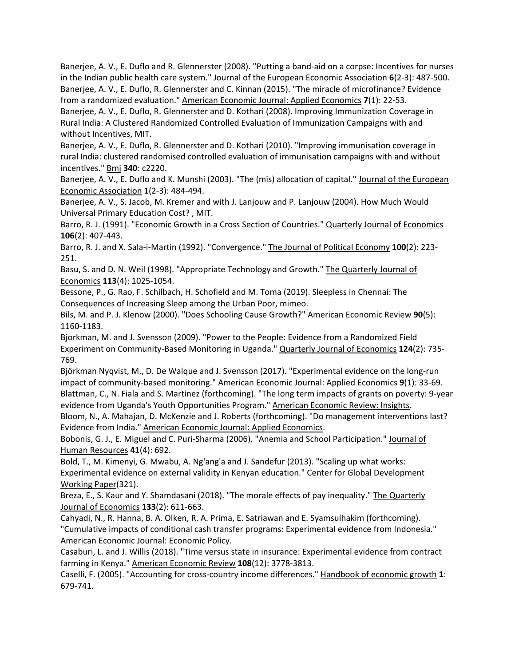<span id="page-31-8"></span><span id="page-31-6"></span>Banerjee, A. V., E. Duflo and R. Glennerster (2008). "Putting a band-aid on a corpse: Incentives for nurses in the Indian public health care system." Journal of the European Economic Association **6**(2-3): 487-500. Banerjee, A. V., E. Duflo, R. Glennerster and C. Kinnan (2015). "The miracle of microfinance? Evidence from a randomized evaluation." American Economic Journal: Applied Economics **7**(1): 22-53.

<span id="page-31-13"></span>Banerjee, A. V., E. Duflo, R. Glennerster and D. Kothari (2008). Improving Immunization Coverage in Rural India: A Clustered Randomized Controlled Evaluation of Immunization Campaigns with and without Incentives, MIT.

<span id="page-31-7"></span>Banerjee, A. V., E. Duflo, R. Glennerster and D. Kothari (2010). "Improving immunisation coverage in rural India: clustered randomised controlled evaluation of immunisation campaigns with and without incentives." Bmj **340**: c2220.

<span id="page-31-12"></span>Banerjee, A. V., E. Duflo and K. Munshi (2003). "The (mis) allocation of capital." Journal of the European Economic Association **1**(2-3): 484-494.

<span id="page-31-5"></span>Banerjee, A. V., S. Jacob, M. Kremer and with J. Lanjouw and P. Lanjouw (2004). How Much Would Universal Primary Education Cost? , MIT.

<span id="page-31-2"></span>Barro, R. J. (1991). "Economic Growth in a Cross Section of Countries." Quarterly Journal of Economics **106**(2): 407-443.

<span id="page-31-3"></span>Barro, R. J. and X. Sala-i-Martin (1992). "Convergence." The Journal of Political Economy **100**(2): 223- 251.

<span id="page-31-0"></span>Basu, S. and D. N. Weil (1998). "Appropriate Technology and Growth." The Quarterly Journal of Economics **113**(4): 1025-1054.

<span id="page-31-15"></span>Bessone, P., G. Rao, F. Schilbach, H. Schofield and M. Toma (2019). Sleepless in Chennai: The Consequences of Increasing Sleep among the Urban Poor, mimeo.

<span id="page-31-4"></span>Bils, M. and P. J. Klenow (2000). "Does Schooling Cause Growth?" American Economic Review **90**(5): 1160-1183.

<span id="page-31-10"></span>Bjorkman, M. and J. Svensson (2009). "Power to the People: Evidence from a Randomized Field Experiment on Community-Based Monitoring in Uganda." Quarterly Journal of Economics **124**(2): 735- 769.

<span id="page-31-18"></span><span id="page-31-11"></span>Björkman Nyqvist, M., D. De Walque and J. Svensson (2017). "Experimental evidence on the long-run impact of community-based monitoring." American Economic Journal: Applied Economics **9**(1): 33-69. Blattman, C., N. Fiala and S. Martinez (forthcoming). "The long term impacts of grants on poverty: 9-year evidence from Uganda's Youth Opportunities Program." American Economic Review: Insights.

<span id="page-31-19"></span>Bloom, N., A. Mahajan, D. McKenzie and J. Roberts (forthcoming). "Do management interventions last? Evidence from India." American Economic Journal: Applied Economics.

<span id="page-31-9"></span>Bobonis, G. J., E. Miguel and C. Puri-Sharma (2006). "Anemia and School Participation." Journal of Human Resources **41**(4): 692.

<span id="page-31-16"></span>Bold, T., M. Kimenyi, G. Mwabu, A. Ng'ang'a and J. Sandefur (2013). "Scaling up what works: Experimental evidence on external validity in Kenyan education." Center for Global Development Working Paper(321).

<span id="page-31-14"></span>Breza, E., S. Kaur and Y. Shamdasani (2018). "The morale effects of pay inequality." The Quarterly Journal of Economics **133**(2): 611-663.

<span id="page-31-17"></span>Cahyadi, N., R. Hanna, B. A. Olken, R. A. Prima, E. Satriawan and E. Syamsulhakim (forthcoming). "Cumulative impacts of conditional cash transfer programs: Experimental evidence from Indonesia." American Economic Journal: Economic Policy.

<span id="page-31-20"></span>Casaburi, L. and J. Willis (2018). "Time versus state in insurance: Experimental evidence from contract farming in Kenya." American Economic Review **108**(12): 3778-3813.

<span id="page-31-1"></span>Caselli, F. (2005). "Accounting for cross-country income differences." Handbook of economic growth **1**: 679-741.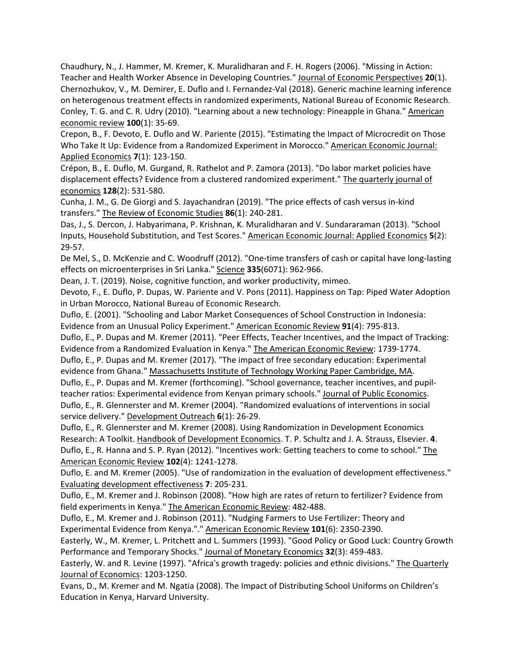<span id="page-32-14"></span><span id="page-32-8"></span>Chaudhury, N., J. Hammer, M. Kremer, K. Muralidharan and F. H. Rogers (2006). "Missing in Action: Teacher and Health Worker Absence in Developing Countries." Journal of Economic Perspectives **20**(1). Chernozhukov, V., M. Demirer, E. Duflo and I. Fernandez-Val (2018). Generic machine learning inference on heterogenous treatment effects in randomized experiments, National Bureau of Economic Research. Conley, T. G. and C. R. Udry (2010). "Learning about a new technology: Pineapple in Ghana." American economic review **100**(1): 35-69.

<span id="page-32-17"></span><span id="page-32-16"></span>Crepon, B., F. Devoto, E. Duflo and W. Pariente (2015). "Estimating the Impact of Microcredit on Those Who Take It Up: Evidence from a Randomized Experiment in Morocco." American Economic Journal: Applied Economics **7**(1): 123-150.

<span id="page-32-7"></span>Crépon, B., E. Duflo, M. Gurgand, R. Rathelot and P. Zamora (2013). "Do labor market policies have displacement effects? Evidence from a clustered randomized experiment." The quarterly journal of economics **128**(2): 531-580.

<span id="page-32-20"></span>Cunha, J. M., G. De Giorgi and S. Jayachandran (2019). "The price effects of cash versus in-kind transfers." The Review of Economic Studies **86**(1): 240-281.

<span id="page-32-13"></span>Das, J., S. Dercon, J. Habyarimana, P. Krishnan, K. Muralidharan and V. Sundararaman (2013). "School Inputs, Household Substitution, and Test Scores." American Economic Journal: Applied Economics **5**(2): 29-57.

<span id="page-32-22"></span>De Mel, S., D. McKenzie and C. Woodruff (2012). "One-time transfers of cash or capital have long-lasting effects on microenterprises in Sri Lanka." Science **335**(6071): 962-966.

<span id="page-32-19"></span>Dean, J. T. (2019). Noise, cognitive function, and worker productivity, mimeo.

<span id="page-32-18"></span>Devoto, F., E. Duflo, P. Dupas, W. Pariente and V. Pons (2011). Happiness on Tap: Piped Water Adoption in Urban Morocco, National Bureau of Economic Research.

<span id="page-32-9"></span>Duflo, E. (2001). "Schooling and Labor Market Consequences of School Construction in Indonesia: Evidence from an Unusual Policy Experiment." American Economic Review **91**(4): 795-813.

<span id="page-32-21"></span><span id="page-32-10"></span>Duflo, E., P. Dupas and M. Kremer (2011). "Peer Effects, Teacher Incentives, and the Impact of Tracking: Evidence from a Randomized Evaluation in Kenya." The American Economic Review: 1739-1774. Duflo, E., P. Dupas and M. Kremer (2017). "The impact of free secondary education: Experimental evidence from Ghana." Massachusetts Institute of Technology Working Paper Cambridge, MA.

<span id="page-32-12"></span><span id="page-32-4"></span>Duflo, E., P. Dupas and M. Kremer (forthcoming). "School governance, teacher incentives, and pupilteacher ratios: Experimental evidence from Kenyan primary schools." Journal of Public Economics. Duflo, E., R. Glennerster and M. Kremer (2004). "Randomized evaluations of interventions in social service delivery." Development Outreach **6**(1): 26-29.

<span id="page-32-15"></span><span id="page-32-6"></span>Duflo, E., R. Glennerster and M. Kremer (2008). Using Randomization in Development Economics Research: A Toolkit. Handbook of Development Economics. T. P. Schultz and J. A. Strauss, Elsevier. **4**. Duflo, E., R. Hanna and S. P. Ryan (2012). "Incentives work: Getting teachers to come to school." The American Economic Review **102**(4): 1241-1278.

<span id="page-32-5"></span>Duflo, E. and M. Kremer (2005). "Use of randomization in the evaluation of development effectiveness." Evaluating development effectiveness **7**: 205-231.

<span id="page-32-2"></span>Duflo, E., M. Kremer and J. Robinson (2008). "How high are rates of return to fertilizer? Evidence from field experiments in Kenya." The American Economic Review: 482-488.

<span id="page-32-3"></span>Duflo, E., M. Kremer and J. Robinson (2011). "Nudging Farmers to Use Fertilizer: Theory and Experimental Evidence from Kenya."." American Economic Review **101**(6): 2350-2390.

<span id="page-32-0"></span>Easterly, W., M. Kremer, L. Pritchett and L. Summers (1993). "Good Policy or Good Luck: Country Growth Performance and Temporary Shocks." Journal of Monetary Economics **32**(3): 459-483.

<span id="page-32-1"></span>Easterly, W. and R. Levine (1997). "Africa's growth tragedy: policies and ethnic divisions." The Quarterly Journal of Economics: 1203-1250.

<span id="page-32-11"></span>Evans, D., M. Kremer and M. Ngatia (2008). The Impact of Distributing School Uniforms on Children's Education in Kenya, Harvard University.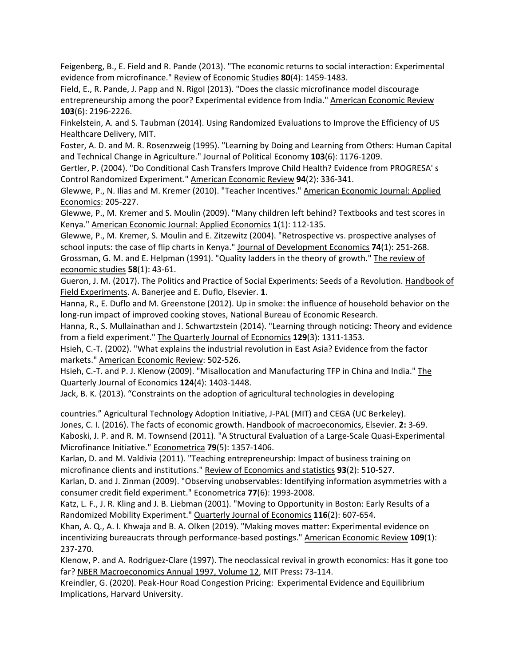<span id="page-33-14"></span>Feigenberg, B., E. Field and R. Pande (2013). "The economic returns to social interaction: Experimental evidence from microfinance." Review of Economic Studies **80**(4): 1459-1483.

<span id="page-33-15"></span>Field, E., R. Pande, J. Papp and N. Rigol (2013). "Does the classic microfinance model discourage entrepreneurship among the poor? Experimental evidence from India." American Economic Review **103**(6): 2196-2226.

<span id="page-33-0"></span>Finkelstein, A. and S. Taubman (2014). Using Randomized Evaluations to Improve the Efficiency of US Healthcare Delivery, MIT.

<span id="page-33-17"></span>Foster, A. D. and M. R. Rosenzweig (1995). "Learning by Doing and Learning from Others: Human Capital and Technical Change in Agriculture." Journal of Political Economy **103**(6): 1176-1209.

<span id="page-33-3"></span>Gertler, P. (2004). "Do Conditional Cash Transfers Improve Child Health? Evidence from PROGRESA' s Control Randomized Experiment." American Economic Review **94**(2): 336-341.

<span id="page-33-9"></span>Glewwe, P., N. Ilias and M. Kremer (2010). "Teacher Incentives." American Economic Journal: Applied Economics: 205-227.

<span id="page-33-8"></span>Glewwe, P., M. Kremer and S. Moulin (2009). "Many children left behind? Textbooks and test scores in Kenya." American Economic Journal: Applied Economics **1**(1): 112-135.

<span id="page-33-7"></span><span id="page-33-4"></span>Glewwe, P., M. Kremer, S. Moulin and E. Zitzewitz (2004). "Retrospective vs. prospective analyses of school inputs: the case of flip charts in Kenya." Journal of Development Economics **74**(1): 251-268. Grossman, G. M. and E. Helpman (1991). "Quality ladders in the theory of growth." The review of economic studies **58**(1): 43-61.

<span id="page-33-2"></span>Gueron, J. M. (2017). The Politics and Practice of Social Experiments: Seeds of a Revolution. Handbook of Field Experiments. A. Banerjee and E. Duflo, Elsevier. **1**.

<span id="page-33-19"></span>Hanna, R., E. Duflo and M. Greenstone (2012). Up in smoke: the influence of household behavior on the long-run impact of improved cooking stoves, National Bureau of Economic Research.

<span id="page-33-20"></span>Hanna, R., S. Mullainathan and J. Schwartzstein (2014). "Learning through noticing: Theory and evidence from a field experiment." The Quarterly Journal of Economics **129**(3): 1311-1353.

<span id="page-33-6"></span>Hsieh, C.-T. (2002). "What explains the industrial revolution in East Asia? Evidence from the factor markets." American Economic Review: 502-526.

<span id="page-33-10"></span>Hsieh, C.-T. and P. J. Klenow (2009). "Misallocation and Manufacturing TFP in China and India." The Quarterly Journal of Economics **124**(4): 1403-1448.

<span id="page-33-18"></span>Jack, B. K. (2013). "Constraints on the adoption of agricultural technologies in developing

<span id="page-33-16"></span><span id="page-33-11"></span>countries." Agricultural Technology Adoption Initiative, J-PAL (MIT) and CEGA (UC Berkeley). Jones, C. I. (2016). The facts of economic growth. Handbook of macroeconomics, Elsevier. **2:** 3-69. Kaboski, J. P. and R. M. Townsend (2011). "A Structural Evaluation of a Large-Scale Quasi-Experimental Microfinance Initiative." Econometrica **79**(5): 1357-1406.

<span id="page-33-13"></span>Karlan, D. and M. Valdivia (2011). "Teaching entrepreneurship: Impact of business training on microfinance clients and institutions." Review of Economics and statistics **93**(2): 510-527.

<span id="page-33-12"></span>Karlan, D. and J. Zinman (2009). "Observing unobservables: Identifying information asymmetries with a consumer credit field experiment." Econometrica **77**(6): 1993-2008.

<span id="page-33-1"></span>Katz, L. F., J. R. Kling and J. B. Liebman (2001). "Moving to Opportunity in Boston: Early Results of a Randomized Mobility Experiment." Quarterly Journal of Economics **116**(2): 607-654.

<span id="page-33-21"></span>Khan, A. Q., A. I. Khwaja and B. A. Olken (2019). "Making moves matter: Experimental evidence on incentivizing bureaucrats through performance-based postings." American Economic Review **109**(1): 237-270.

<span id="page-33-5"></span>Klenow, P. and A. Rodriguez-Clare (1997). The neoclassical revival in growth economics: Has it gone too far? NBER Macroeconomics Annual 1997, Volume 12, MIT Press**:** 73-114.

<span id="page-33-22"></span>Kreindler, G. (2020). Peak-Hour Road Congestion Pricing: Experimental Evidence and Equilibrium Implications, Harvard University.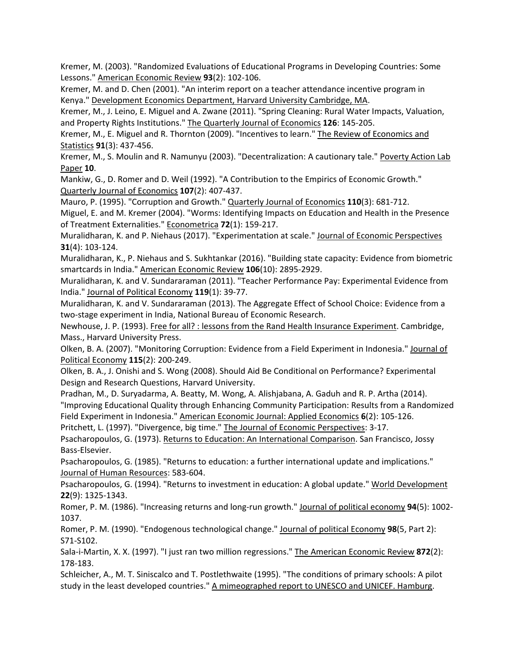<span id="page-34-9"></span>Kremer, M. (2003). "Randomized Evaluations of Educational Programs in Developing Countries: Some Lessons." American Economic Review **93**(2): 102-106.

<span id="page-34-17"></span>Kremer, M. and D. Chen (2001). "An interim report on a teacher attendance incentive program in Kenya." Development Economics Department, Harvard University Cambridge, MA.

<span id="page-34-20"></span>Kremer, M., J. Leino, E. Miguel and A. Zwane (2011). "Spring Cleaning: Rural Water Impacts, Valuation, and Property Rights Institutions." The Quarterly Journal of Economics **126**: 145-205.

<span id="page-34-14"></span>Kremer, M., E. Miguel and R. Thornton (2009). "Incentives to learn." The Review of Economics and Statistics **91**(3): 437-456.

<span id="page-34-8"></span>Kremer, M., S. Moulin and R. Namunyu (2003). "Decentralization: A cautionary tale." Poverty Action Lab Paper **10**.

<span id="page-34-3"></span>Mankiw, G., D. Romer and D. Weil (1992). "A Contribution to the Empirics of Economic Growth." Quarterly Journal of Economics **107**(2): 407-437.

<span id="page-34-5"></span>Mauro, P. (1995). "Corruption and Growth." Quarterly Journal of Economics **110**(3): 681-712.

<span id="page-34-7"></span>Miguel, E. and M. Kremer (2004). "Worms: Identifying Impacts on Education and Health in the Presence of Treatment Externalities." Econometrica **72**(1): 159-217.

<span id="page-34-21"></span>Muralidharan, K. and P. Niehaus (2017). "Experimentation at scale." Journal of Economic Perspectives **31**(4): 103-124.

<span id="page-34-23"></span>Muralidharan, K., P. Niehaus and S. Sukhtankar (2016). "Building state capacity: Evidence from biometric smartcards in India." American Economic Review **106**(10): 2895-2929.

<span id="page-34-13"></span>Muralidharan, K. and V. Sundararaman (2011). "Teacher Performance Pay: Experimental Evidence from India." Journal of Political Economy **119**(1): 39-77.

<span id="page-34-15"></span>Muralidharan, K. and V. Sundararaman (2013). The Aggregate Effect of School Choice: Evidence from a two-stage experiment in India, National Bureau of Economic Research.

<span id="page-34-0"></span>Newhouse, J. P. (1993). Free for all? : lessons from the Rand Health Insurance Experiment. Cambridge, Mass., Harvard University Press.

<span id="page-34-18"></span>Olken, B. A. (2007). "Monitoring Corruption: Evidence from a Field Experiment in Indonesia." Journal of Political Economy **115**(2): 200-249.

<span id="page-34-22"></span>Olken, B. A., J. Onishi and S. Wong (2008). Should Aid Be Conditional on Performance? Experimental Design and Research Questions, Harvard University.

<span id="page-34-19"></span>Pradhan, M., D. Suryadarma, A. Beatty, M. Wong, A. Alishjabana, A. Gaduh and R. P. Artha (2014). "Improving Educational Quality through Enhancing Community Participation: Results from a Randomized Field Experiment in Indonesia." American Economic Journal: Applied Economics **6**(2): 105-126. Pritchett, L. (1997). "Divergence, big time." The Journal of Economic Perspectives: 3-17.

<span id="page-34-10"></span><span id="page-34-4"></span>Psacharopoulos, G. (1973). Returns to Education: An International Comparison. San Francisco, Jossy Bass-Elsevier.

<span id="page-34-11"></span>Psacharopoulos, G. (1985). "Returns to education: a further international update and implications." Journal of Human Resources: 583-604.

<span id="page-34-12"></span>Psacharopoulos, G. (1994). "Returns to investment in education: A global update." World Development **22**(9): 1325-1343.

<span id="page-34-1"></span>Romer, P. M. (1986). "Increasing returns and long-run growth." Journal of political economy **94**(5): 1002- 1037.

<span id="page-34-2"></span>Romer, P. M. (1990). "Endogenous technological change." Journal of political Economy **98**(5, Part 2): S71-S102.

<span id="page-34-6"></span>Sala-i-Martin, X. X. (1997). "I just ran two million regressions." The American Economic Review **872**(2): 178-183.

<span id="page-34-16"></span>Schleicher, A., M. T. Siniscalco and T. Postlethwaite (1995). "The conditions of primary schools: A pilot study in the least developed countries." A mimeographed report to UNESCO and UNICEF. Hamburg.